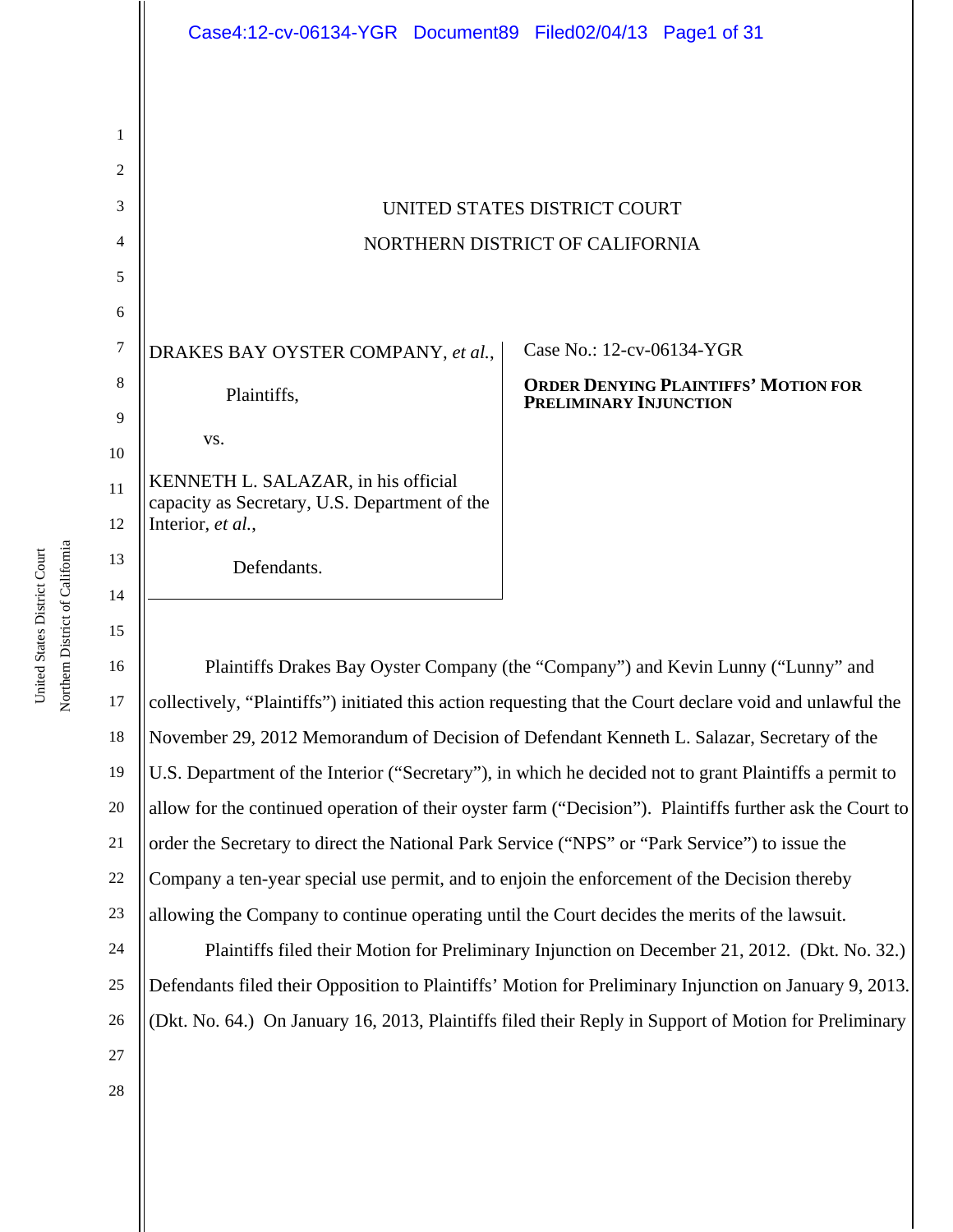|        | Case4:12-cv-06134-YGR Document89 Filed02/04/13 Page1 of 31                           |                                                                       |  |  |  |
|--------|--------------------------------------------------------------------------------------|-----------------------------------------------------------------------|--|--|--|
|        |                                                                                      |                                                                       |  |  |  |
| 1      |                                                                                      |                                                                       |  |  |  |
| 2      |                                                                                      |                                                                       |  |  |  |
| 3      | UNITED STATES DISTRICT COURT                                                         |                                                                       |  |  |  |
| 4      | NORTHERN DISTRICT OF CALIFORNIA                                                      |                                                                       |  |  |  |
| 5      |                                                                                      |                                                                       |  |  |  |
| 6      |                                                                                      |                                                                       |  |  |  |
| $\tau$ | DRAKES BAY OYSTER COMPANY, et al.,                                                   | Case No.: 12-cv-06134-YGR                                             |  |  |  |
| 8      | Plaintiffs,                                                                          | <b>ORDER DENYING PLAINTIFFS' MOTION FOR</b><br>PRELIMINARY INJUNCTION |  |  |  |
| 9      |                                                                                      |                                                                       |  |  |  |
| 10     | VS.                                                                                  |                                                                       |  |  |  |
| 11     | KENNETH L. SALAZAR, in his official<br>capacity as Secretary, U.S. Department of the |                                                                       |  |  |  |
| 12     | Interior, et al.,                                                                    |                                                                       |  |  |  |
| 13     | Defendants.                                                                          |                                                                       |  |  |  |

16 17 18 19 20 21 22 23 Plaintiffs Drakes Bay Oyster Company (the "Company") and Kevin Lunny ("Lunny" and collectively, "Plaintiffs") initiated this action requesting that the Court declare void and unlawful the November 29, 2012 Memorandum of Decision of Defendant Kenneth L. Salazar, Secretary of the U.S. Department of the Interior ("Secretary"), in which he decided not to grant Plaintiffs a permit to allow for the continued operation of their oyster farm ("Decision"). Plaintiffs further ask the Court to order the Secretary to direct the National Park Service ("NPS" or "Park Service") to issue the Company a ten-year special use permit, and to enjoin the enforcement of the Decision thereby allowing the Company to continue operating until the Court decides the merits of the lawsuit.

24 25 26 27 Plaintiffs filed their Motion for Preliminary Injunction on December 21, 2012. (Dkt. No. 32.) Defendants filed their Opposition to Plaintiffs' Motion for Preliminary Injunction on January 9, 2013. (Dkt. No. 64.) On January 16, 2013, Plaintiffs filed their Reply in Support of Motion for Preliminary

Northern District of California Northern District of California United States District Court United States District Court

14

15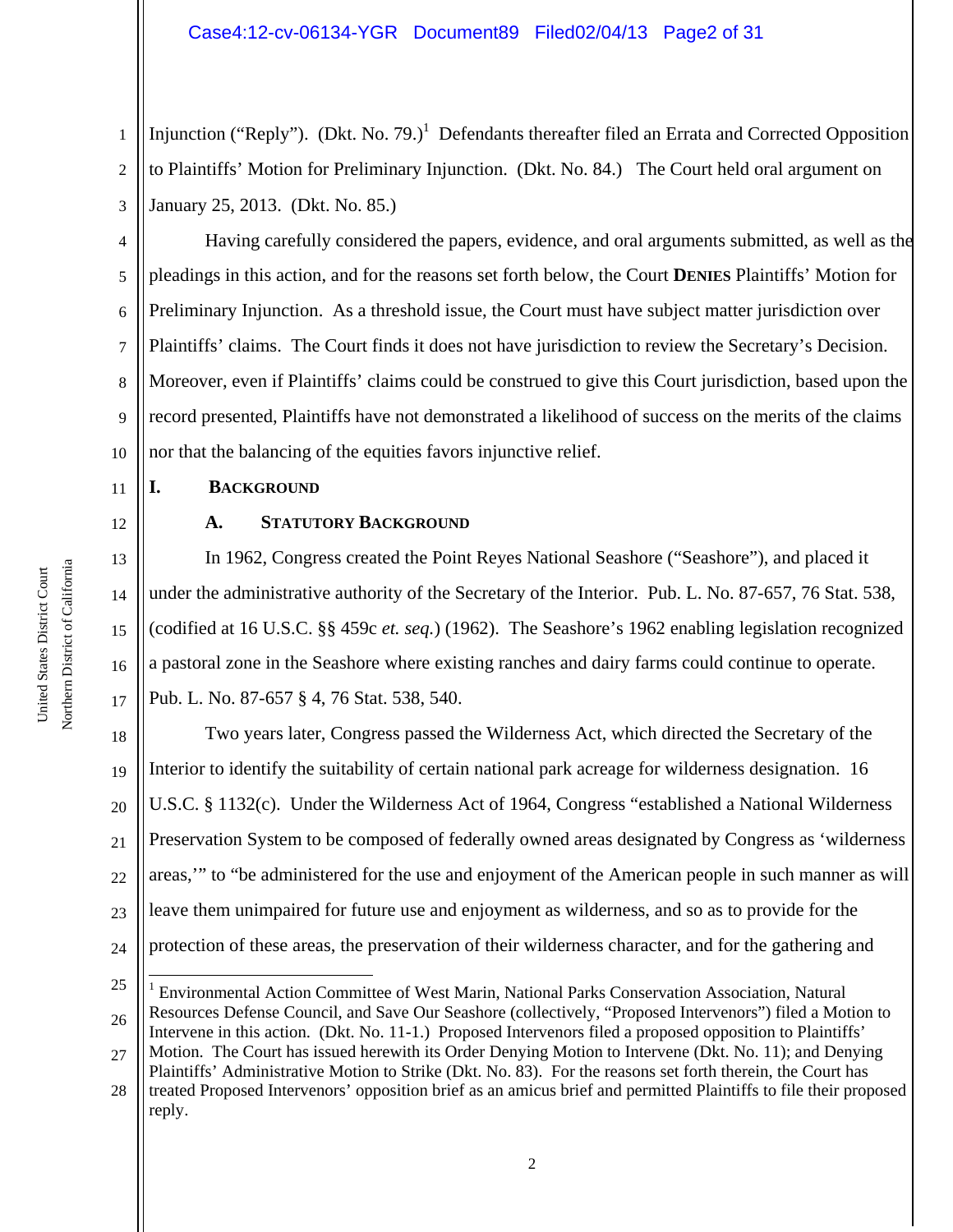1 2 3 Injunction ("Reply"). (Dkt. No. 79.)<sup>1</sup> Defendants thereafter filed an Errata and Corrected Opposition to Plaintiffs' Motion for Preliminary Injunction. (Dkt. No. 84.) The Court held oral argument on January 25, 2013. (Dkt. No. 85.)

4 5 6 7 8 9 10 Having carefully considered the papers, evidence, and oral arguments submitted, as well as the pleadings in this action, and for the reasons set forth below, the Court **DENIES** Plaintiffs' Motion for Preliminary Injunction. As a threshold issue, the Court must have subject matter jurisdiction over Plaintiffs' claims. The Court finds it does not have jurisdiction to review the Secretary's Decision. Moreover, even if Plaintiffs' claims could be construed to give this Court jurisdiction, based upon the record presented, Plaintiffs have not demonstrated a likelihood of success on the merits of the claims nor that the balancing of the equities favors injunctive relief.

## **I. BACKGROUND**

#### **A. STATUTORY BACKGROUND**

In 1962, Congress created the Point Reyes National Seashore ("Seashore"), and placed it under the administrative authority of the Secretary of the Interior. Pub. L. No. 87-657, 76 Stat. 538, (codified at 16 U.S.C. §§ 459c *et. seq.*) (1962). The Seashore's 1962 enabling legislation recognized a pastoral zone in the Seashore where existing ranches and dairy farms could continue to operate. Pub. L. No. 87-657 § 4, 76 Stat. 538, 540.

18 19 20 21 22 23 24 Two years later, Congress passed the Wilderness Act, which directed the Secretary of the Interior to identify the suitability of certain national park acreage for wilderness designation. 16 U.S.C. § 1132(c). Under the Wilderness Act of 1964, Congress "established a National Wilderness Preservation System to be composed of federally owned areas designated by Congress as 'wilderness areas,'" to "be administered for the use and enjoyment of the American people in such manner as will leave them unimpaired for future use and enjoyment as wilderness, and so as to provide for the protection of these areas, the preservation of their wilderness character, and for the gathering and

11

12

13

14

15

16

<sup>25</sup> 26 i <sup>1</sup> Environmental Action Committee of West Marin, National Parks Conservation Association, Natural Resources Defense Council, and Save Our Seashore (collectively, "Proposed Intervenors") filed a Motion to Intervene in this action. (Dkt. No. 11-1.) Proposed Intervenors filed a proposed opposition to Plaintiffs'

<sup>27</sup> Motion. The Court has issued herewith its Order Denying Motion to Intervene (Dkt. No. 11); and Denying Plaintiffs' Administrative Motion to Strike (Dkt. No. 83). For the reasons set forth therein, the Court has

<sup>28</sup> treated Proposed Intervenors' opposition brief as an amicus brief and permitted Plaintiffs to file their proposed reply.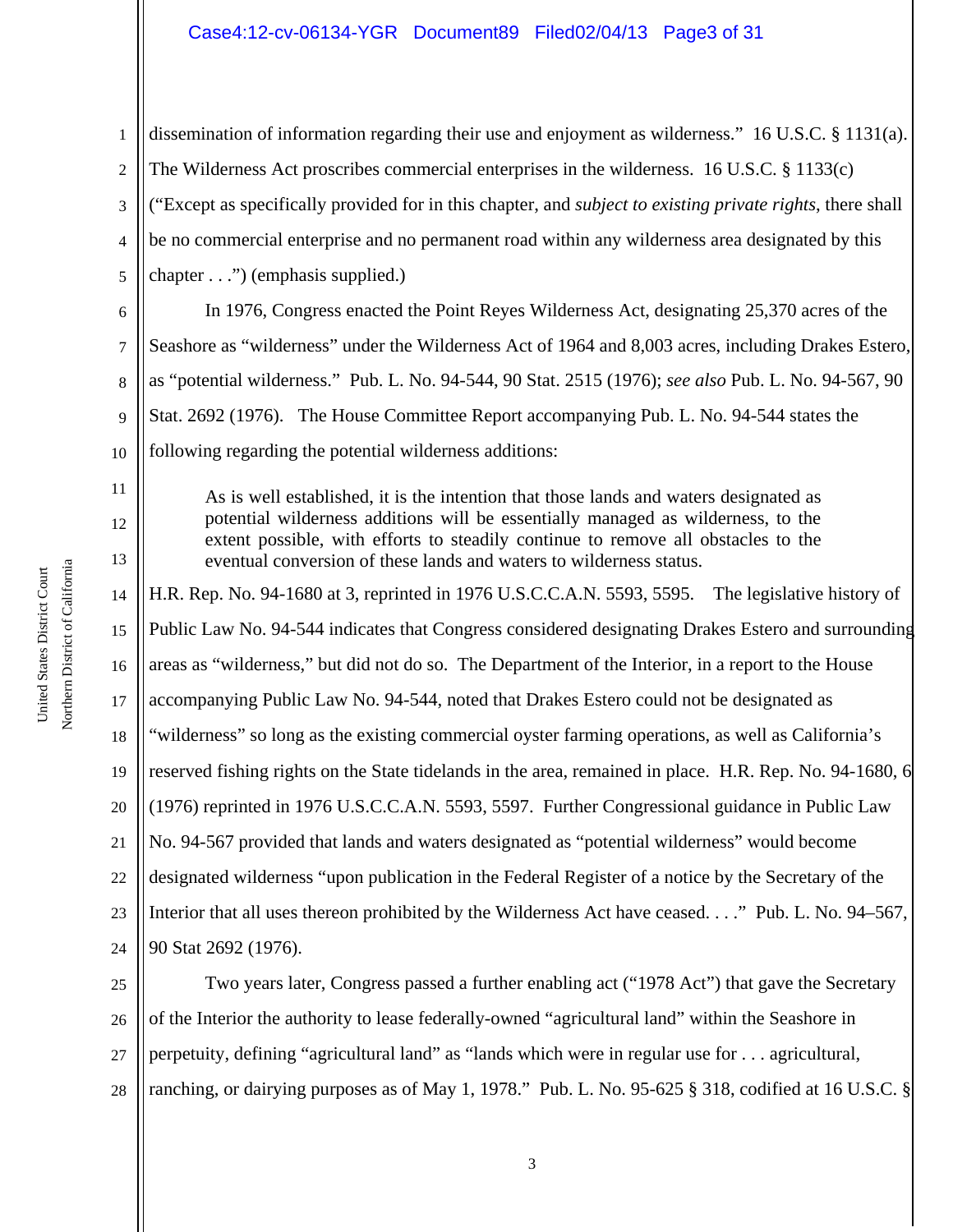## Case4:12-cv-06134-YGR Document89 Filed02/04/13 Page3 of 31

1 2 3 4 5 dissemination of information regarding their use and enjoyment as wilderness." 16 U.S.C. § 1131(a). The Wilderness Act proscribes commercial enterprises in the wilderness. 16 U.S.C. § 1133(c) ("Except as specifically provided for in this chapter, and *subject to existing private rights*, there shall be no commercial enterprise and no permanent road within any wilderness area designated by this chapter . . .") (emphasis supplied.)

6 7 8 9 10 In 1976, Congress enacted the Point Reyes Wilderness Act, designating 25,370 acres of the Seashore as "wilderness" under the Wilderness Act of 1964 and 8,003 acres, including Drakes Estero, as "potential wilderness." Pub. L. No. 94-544, 90 Stat. 2515 (1976); *see also* Pub. L. No. 94-567, 90 Stat. 2692 (1976). The House Committee Report accompanying Pub. L. No. 94-544 states the following regarding the potential wilderness additions:

As is well established, it is the intention that those lands and waters designated as potential wilderness additions will be essentially managed as wilderness, to the extent possible, with efforts to steadily continue to remove all obstacles to the eventual conversion of these lands and waters to wilderness status.

14 15 16 17 18 19 20 21 22 23 24 H.R. Rep. No. 94-1680 at 3, reprinted in 1976 U.S.C.C.A.N. 5593, 5595. The legislative history of Public Law No. 94-544 indicates that Congress considered designating Drakes Estero and surrounding areas as "wilderness," but did not do so. The Department of the Interior, in a report to the House accompanying Public Law No. 94-544, noted that Drakes Estero could not be designated as "wilderness" so long as the existing commercial oyster farming operations, as well as California's reserved fishing rights on the State tidelands in the area, remained in place. H.R. Rep. No. 94-1680, 6 (1976) reprinted in 1976 U.S.C.C.A.N. 5593, 5597. Further Congressional guidance in Public Law No. 94-567 provided that lands and waters designated as "potential wilderness" would become designated wilderness "upon publication in the Federal Register of a notice by the Secretary of the Interior that all uses thereon prohibited by the Wilderness Act have ceased. . . ." Pub. L. No. 94–567, 90 Stat 2692 (1976).

25 26 27 28 Two years later, Congress passed a further enabling act ("1978 Act") that gave the Secretary of the Interior the authority to lease federally-owned "agricultural land" within the Seashore in perpetuity, defining "agricultural land" as "lands which were in regular use for . . . agricultural, ranching, or dairying purposes as of May 1, 1978." Pub. L. No. 95-625 § 318, codified at 16 U.S.C. §

11

12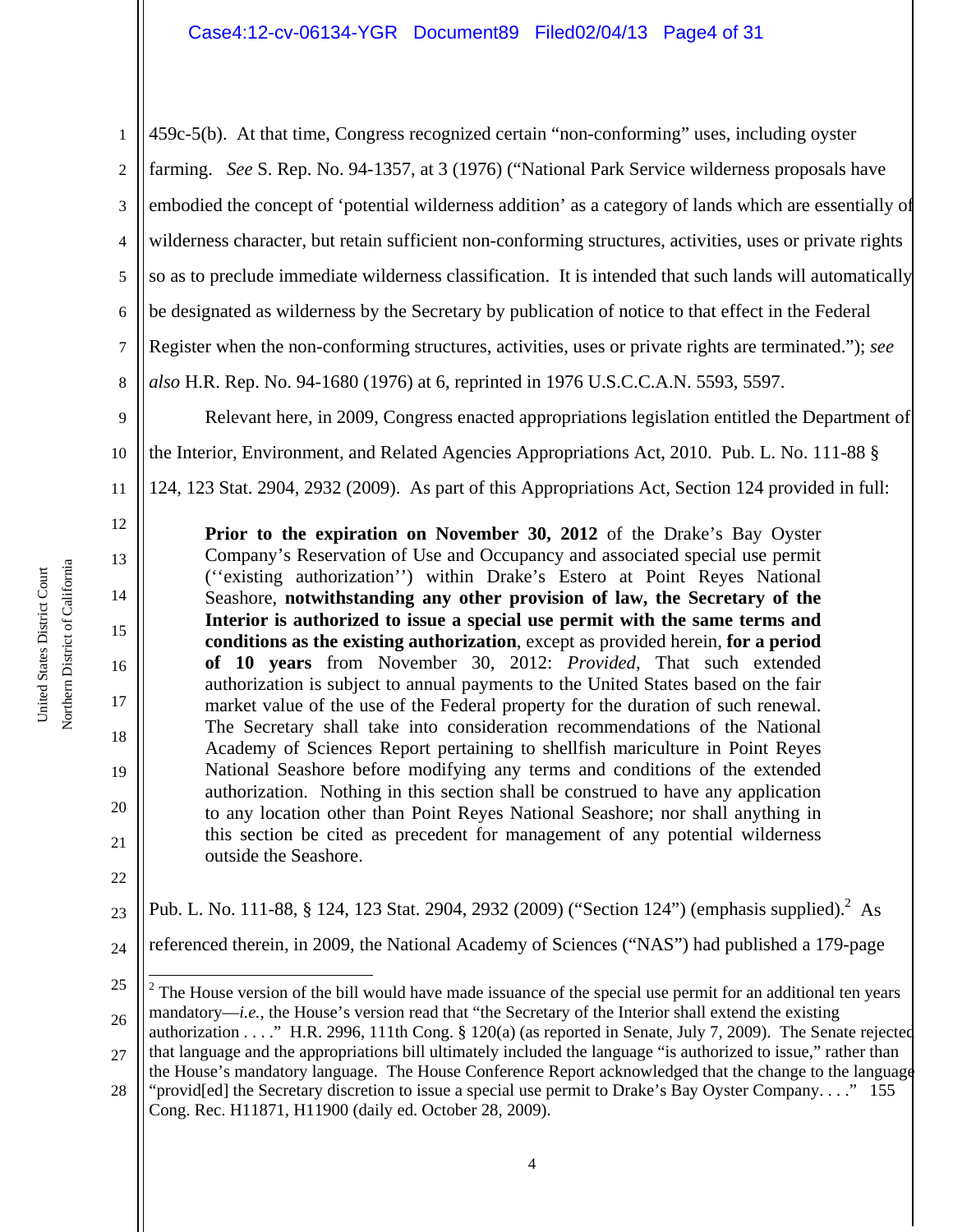1 2 3 4 5 6 7 8 9 459c-5(b). At that time, Congress recognized certain "non-conforming" uses, including oyster farming. *See* S. Rep. No. 94-1357, at 3 (1976) ("National Park Service wilderness proposals have embodied the concept of 'potential wilderness addition' as a category of lands which are essentially of wilderness character, but retain sufficient non-conforming structures, activities, uses or private rights so as to preclude immediate wilderness classification. It is intended that such lands will automatically be designated as wilderness by the Secretary by publication of notice to that effect in the Federal Register when the non-conforming structures, activities, uses or private rights are terminated."); *see also* H.R. Rep. No. 94-1680 (1976) at 6, reprinted in 1976 U.S.C.C.A.N. 5593, 5597. Relevant here, in 2009, Congress enacted appropriations legislation entitled the Department of

10 11 the Interior, Environment, and Related Agencies Appropriations Act, 2010. Pub. L. No. 111-88 § 124, 123 Stat. 2904, 2932 (2009). As part of this Appropriations Act, Section 124 provided in full:

**Prior to the expiration on November 30, 2012** of the Drake's Bay Oyster Company's Reservation of Use and Occupancy and associated special use permit (''existing authorization'') within Drake's Estero at Point Reyes National Seashore, **notwithstanding any other provision of law, the Secretary of the Interior is authorized to issue a special use permit with the same terms and conditions as the existing authorization**, except as provided herein, **for a period of 10 years** from November 30, 2012: *Provided*, That such extended authorization is subject to annual payments to the United States based on the fair market value of the use of the Federal property for the duration of such renewal. The Secretary shall take into consideration recommendations of the National Academy of Sciences Report pertaining to shellfish mariculture in Point Reyes National Seashore before modifying any terms and conditions of the extended authorization. Nothing in this section shall be construed to have any application to any location other than Point Reyes National Seashore; nor shall anything in this section be cited as precedent for management of any potential wilderness outside the Seashore.

23 Pub. L. No. 111-88, § 124, 123 Stat. 2904, 2932 (2009) ("Section 124") (emphasis supplied).<sup>2</sup> As

24 referenced therein, in 2009, the National Academy of Sciences ("NAS") had published a 179-page

25 26 i  $2^2$  The House version of the bill would have made issuance of the special use permit for an additional ten years mandatory—*i.e.*, the House's version read that "the Secretary of the Interior shall extend the existing authorization . . . ." H.R. 2996, 111th Cong. § 120(a) (as reported in Senate, July 7, 2009). The Senate rejected

28 "provid[ed] the Secretary discretion to issue a special use permit to Drake's Bay Oyster Company. . . ." 155 Cong. Rec. H11871, H11900 (daily ed. October 28, 2009).

12

13

14

15

16

17

18

19

20

21

<sup>27</sup> that language and the appropriations bill ultimately included the language "is authorized to issue," rather than the House's mandatory language. The House Conference Report acknowledged that the change to the language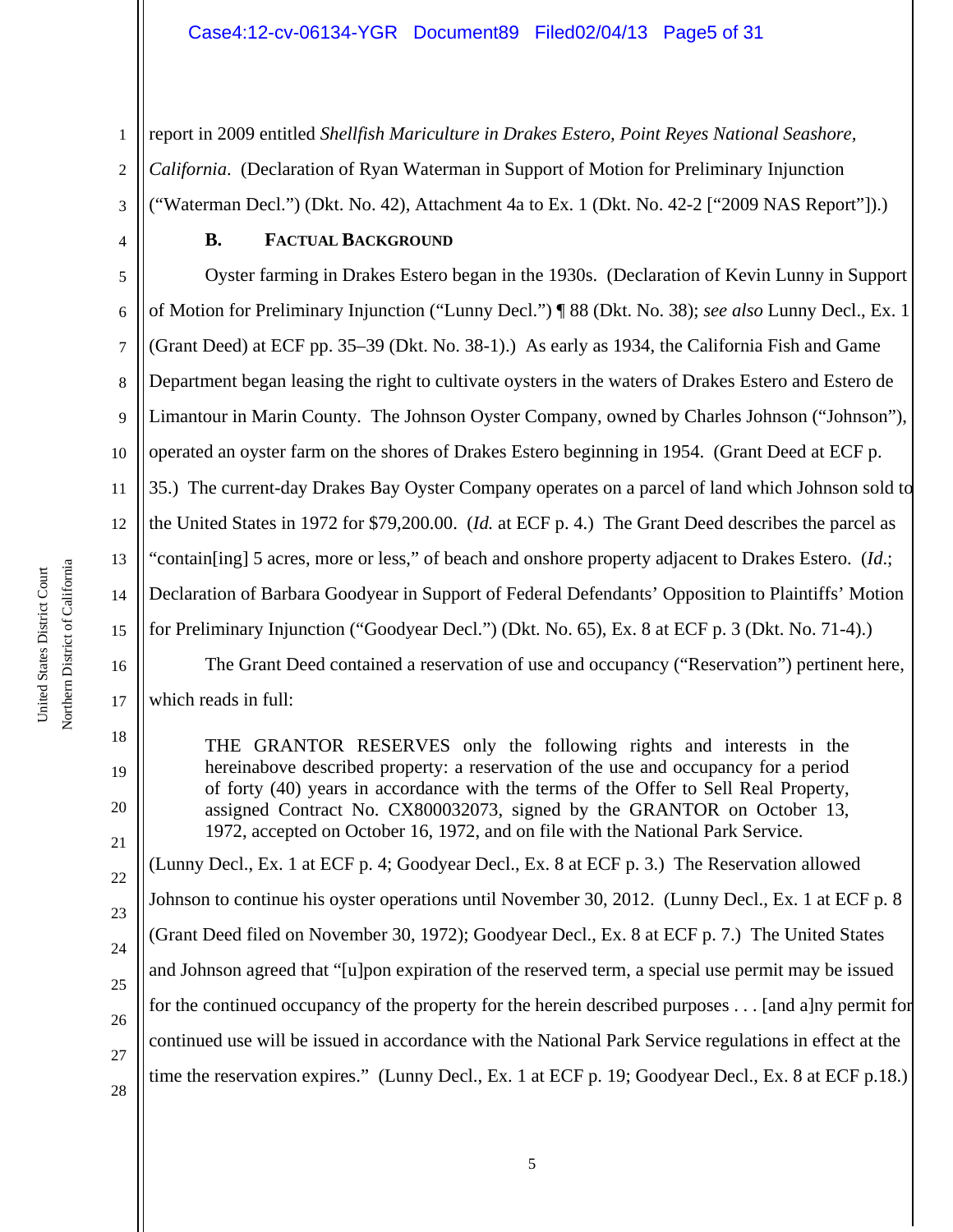#### Case4:12-cv-06134-YGR Document89 Filed02/04/13 Page5 of 31

1 2 3 report in 2009 entitled *Shellfish Mariculture in Drakes Estero, Point Reyes National Seashore, California*. (Declaration of Ryan Waterman in Support of Motion for Preliminary Injunction ("Waterman Decl.") (Dkt. No. 42), Attachment 4a to Ex. 1 (Dkt. No. 42-2 ["2009 NAS Report"]).)

#### **B. FACTUAL BACKGROUND**

5 6 7 8 9 10 11 12 13 14 15 16 Oyster farming in Drakes Estero began in the 1930s. (Declaration of Kevin Lunny in Support of Motion for Preliminary Injunction ("Lunny Decl.") ¶ 88 (Dkt. No. 38); *see also* Lunny Decl., Ex. 1 (Grant Deed) at ECF pp. 35–39 (Dkt. No. 38-1).) As early as 1934, the California Fish and Game Department began leasing the right to cultivate oysters in the waters of Drakes Estero and Estero de Limantour in Marin County. The Johnson Oyster Company, owned by Charles Johnson ("Johnson"), operated an oyster farm on the shores of Drakes Estero beginning in 1954. (Grant Deed at ECF p. 35.) The current-day Drakes Bay Oyster Company operates on a parcel of land which Johnson sold to the United States in 1972 for \$79,200.00. (*Id.* at ECF p. 4.) The Grant Deed describes the parcel as "contain[ing] 5 acres, more or less," of beach and onshore property adjacent to Drakes Estero. (*Id*.; Declaration of Barbara Goodyear in Support of Federal Defendants' Opposition to Plaintiffs' Motion for Preliminary Injunction ("Goodyear Decl.") (Dkt. No. 65), Ex. 8 at ECF p. 3 (Dkt. No. 71-4).)

The Grant Deed contained a reservation of use and occupancy ("Reservation") pertinent here, which reads in full:

THE GRANTOR RESERVES only the following rights and interests in the hereinabove described property: a reservation of the use and occupancy for a period of forty (40) years in accordance with the terms of the Offer to Sell Real Property, assigned Contract No. CX800032073, signed by the GRANTOR on October 13, 1972, accepted on October 16, 1972, and on file with the National Park Service.

(Lunny Decl., Ex. 1 at ECF p. 4; Goodyear Decl., Ex. 8 at ECF p. 3.) The Reservation allowed Johnson to continue his oyster operations until November 30, 2012. (Lunny Decl., Ex. 1 at ECF p. 8 (Grant Deed filed on November 30, 1972); Goodyear Decl., Ex. 8 at ECF p. 7.) The United States and Johnson agreed that "[u]pon expiration of the reserved term, a special use permit may be issued for the continued occupancy of the property for the herein described purposes . . . [and a]ny permit for continued use will be issued in accordance with the National Park Service regulations in effect at the time the reservation expires." (Lunny Decl., Ex. 1 at ECF p. 19; Goodyear Decl., Ex. 8 at ECF p.18.)

17

18

19

20

21

22

23

24

25

26

27

28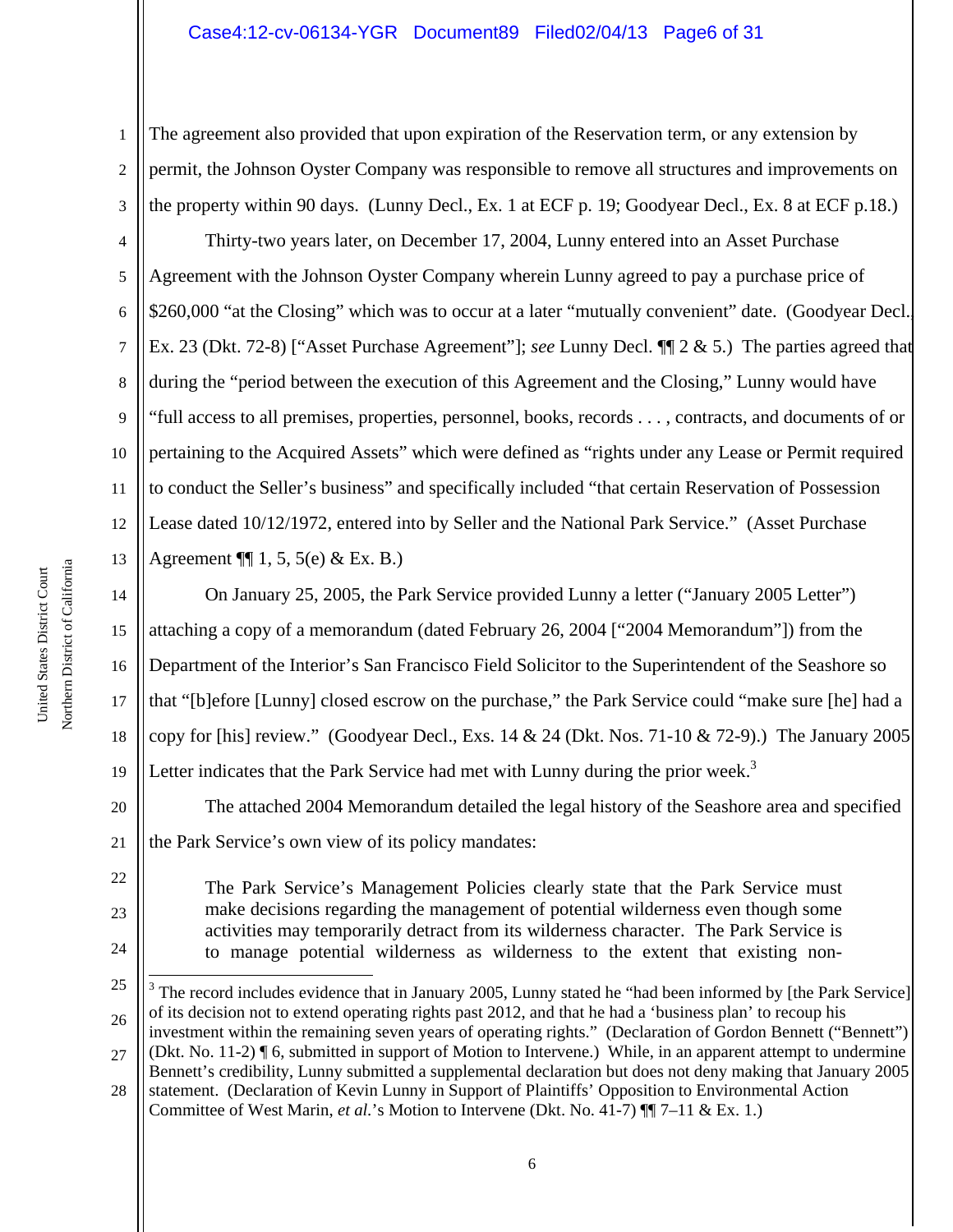### Case4:12-cv-06134-YGR Document89 Filed02/04/13 Page6 of 31

1 2 3 The agreement also provided that upon expiration of the Reservation term, or any extension by permit, the Johnson Oyster Company was responsible to remove all structures and improvements on the property within 90 days. (Lunny Decl., Ex. 1 at ECF p. 19; Goodyear Decl., Ex. 8 at ECF p.18.)

4 5 6 7 8 9 10 11 12 13 Thirty-two years later, on December 17, 2004, Lunny entered into an Asset Purchase Agreement with the Johnson Oyster Company wherein Lunny agreed to pay a purchase price of \$260,000 "at the Closing" which was to occur at a later "mutually convenient" date. (Goodyear Decl. Ex. 23 (Dkt. 72-8) ["Asset Purchase Agreement"]; *see* Lunny Decl. ¶¶ 2 & 5.) The parties agreed that during the "period between the execution of this Agreement and the Closing," Lunny would have "full access to all premises, properties, personnel, books, records . . . , contracts, and documents of or pertaining to the Acquired Assets" which were defined as "rights under any Lease or Permit required to conduct the Seller's business" and specifically included "that certain Reservation of Possession Lease dated 10/12/1972, entered into by Seller and the National Park Service." (Asset Purchase Agreement  $\P\P$  1, 5, 5(e) & Ex. B.)

14 15 16 17 18 19 On January 25, 2005, the Park Service provided Lunny a letter ("January 2005 Letter") attaching a copy of a memorandum (dated February 26, 2004 ["2004 Memorandum"]) from the Department of the Interior's San Francisco Field Solicitor to the Superintendent of the Seashore so that "[b]efore [Lunny] closed escrow on the purchase," the Park Service could "make sure [he] had a copy for [his] review." (Goodyear Decl., Exs. 14 & 24 (Dkt. Nos. 71-10 & 72-9).) The January 2005 Letter indicates that the Park Service had met with Lunny during the prior week.<sup>3</sup>

20 21 The attached 2004 Memorandum detailed the legal history of the Seashore area and specified the Park Service's own view of its policy mandates:

The Park Service's Management Policies clearly state that the Park Service must make decisions regarding the management of potential wilderness even though some activities may temporarily detract from its wilderness character. The Park Service is to manage potential wilderness as wilderness to the extent that existing non-

22

23

<sup>25</sup> 26 i  $3$  The record includes evidence that in January 2005, Lunny stated he "had been informed by [the Park Service] of its decision not to extend operating rights past 2012, and that he had a 'business plan' to recoup his investment within the remaining seven years of operating rights." (Declaration of Gordon Bennett ("Bennett")

<sup>27</sup> (Dkt. No. 11-2) ¶ 6, submitted in support of Motion to Intervene.) While, in an apparent attempt to undermine Bennett's credibility, Lunny submitted a supplemental declaration but does not deny making that January 2005

<sup>28</sup> statement. (Declaration of Kevin Lunny in Support of Plaintiffs' Opposition to Environmental Action Committee of West Marin, *et al.*'s Motion to Intervene (Dkt. No. 41-7) ¶¶ 7–11 & Ex. 1.)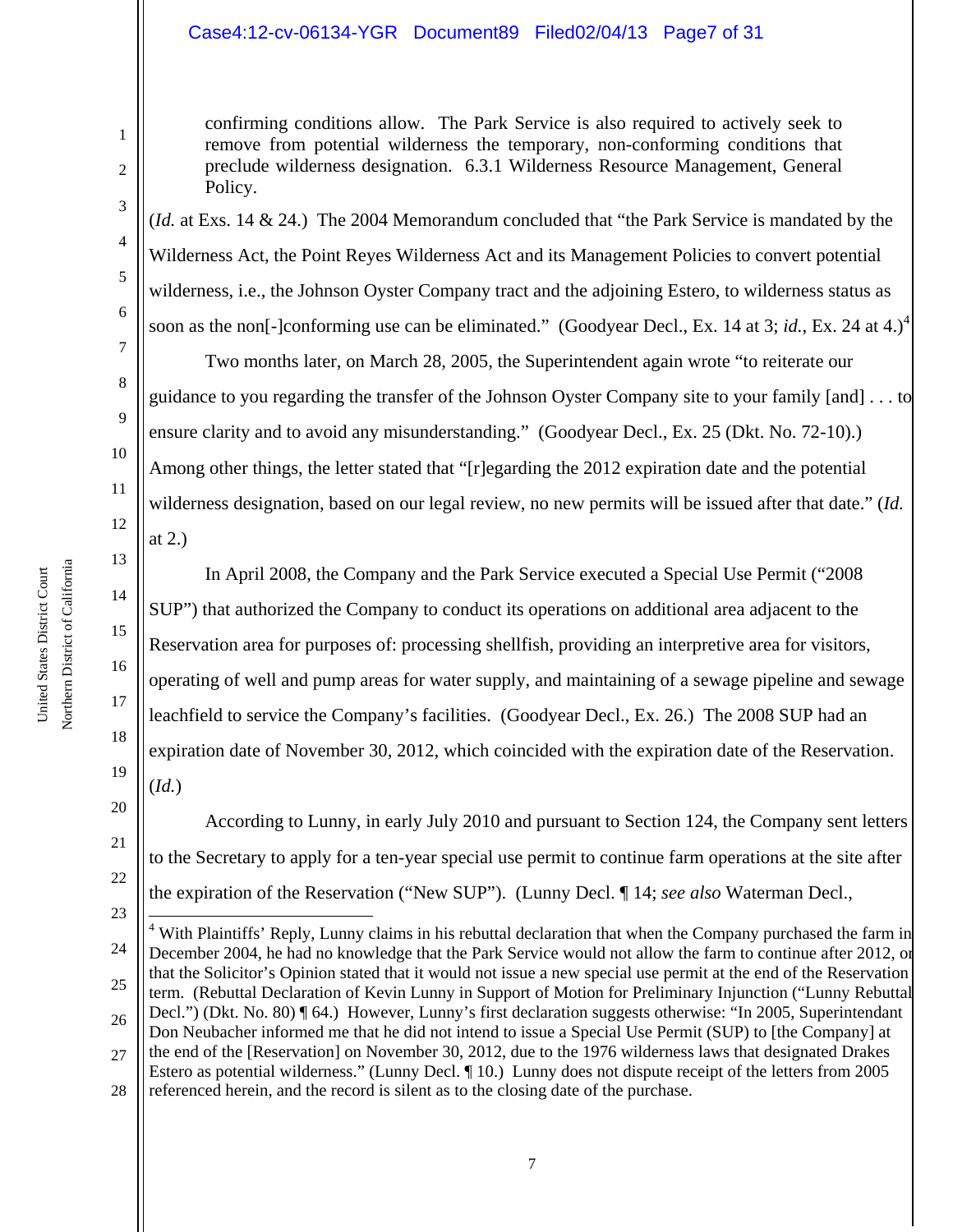## Case4:12-cv-06134-YGR Document89 Filed02/04/13 Page7 of 31

confirming conditions allow. The Park Service is also required to actively seek to remove from potential wilderness the temporary, non-conforming conditions that preclude wilderness designation. 6.3.1 Wilderness Resource Management, General Policy.

(*Id.* at Exs. 14 & 24.) The 2004 Memorandum concluded that "the Park Service is mandated by the Wilderness Act, the Point Reyes Wilderness Act and its Management Policies to convert potential wilderness, i.e., the Johnson Oyster Company tract and the adjoining Estero, to wilderness status as soon as the non[-]conforming use can be eliminated." (Goodyear Decl., Ex. 14 at 3; *id.*, Ex. 24 at 4.)<sup>4</sup>

Two months later, on March 28, 2005, the Superintendent again wrote "to reiterate our guidance to you regarding the transfer of the Johnson Oyster Company site to your family [and] . . . to ensure clarity and to avoid any misunderstanding." (Goodyear Decl., Ex. 25 (Dkt. No. 72-10).) Among other things, the letter stated that "[r]egarding the 2012 expiration date and the potential wilderness designation, based on our legal review, no new permits will be issued after that date." (*Id.* at 2.)

In April 2008, the Company and the Park Service executed a Special Use Permit ("2008 SUP") that authorized the Company to conduct its operations on additional area adjacent to the Reservation area for purposes of: processing shellfish, providing an interpretive area for visitors, operating of well and pump areas for water supply, and maintaining of a sewage pipeline and sewage leachfield to service the Company's facilities. (Goodyear Decl., Ex. 26.) The 2008 SUP had an expiration date of November 30, 2012, which coincided with the expiration date of the Reservation. (*Id.*)

19 20

According to Lunny, in early July 2010 and pursuant to Section 124, the Company sent letters to the Secretary to apply for a ten-year special use permit to continue farm operations at the site after the expiration of the Reservation ("New SUP"). (Lunny Decl. ¶ 14; *see also* Waterman Decl.,

23 24 25 26 27 28 i <sup>4</sup> With Plaintiffs' Reply, Lunny claims in his rebuttal declaration that when the Company purchased the farm in December 2004, he had no knowledge that the Park Service would not allow the farm to continue after 2012, or that the Solicitor's Opinion stated that it would not issue a new special use permit at the end of the Reservation term. (Rebuttal Declaration of Kevin Lunny in Support of Motion for Preliminary Injunction ("Lunny Rebuttal Decl.") (Dkt. No. 80) ¶ 64.) However, Lunny's first declaration suggests otherwise: "In 2005, Superintendant Don Neubacher informed me that he did not intend to issue a Special Use Permit (SUP) to [the Company] at the end of the [Reservation] on November 30, 2012, due to the 1976 wilderness laws that designated Drakes Estero as potential wilderness." (Lunny Decl. ¶ 10.) Lunny does not dispute receipt of the letters from 2005 referenced herein, and the record is silent as to the closing date of the purchase.

Northern District of California Northern District of California

United States District Court

United States District Court

1

2

3

4

5

6

7

8

9

10

11

12

13

14

15

16

17

18

21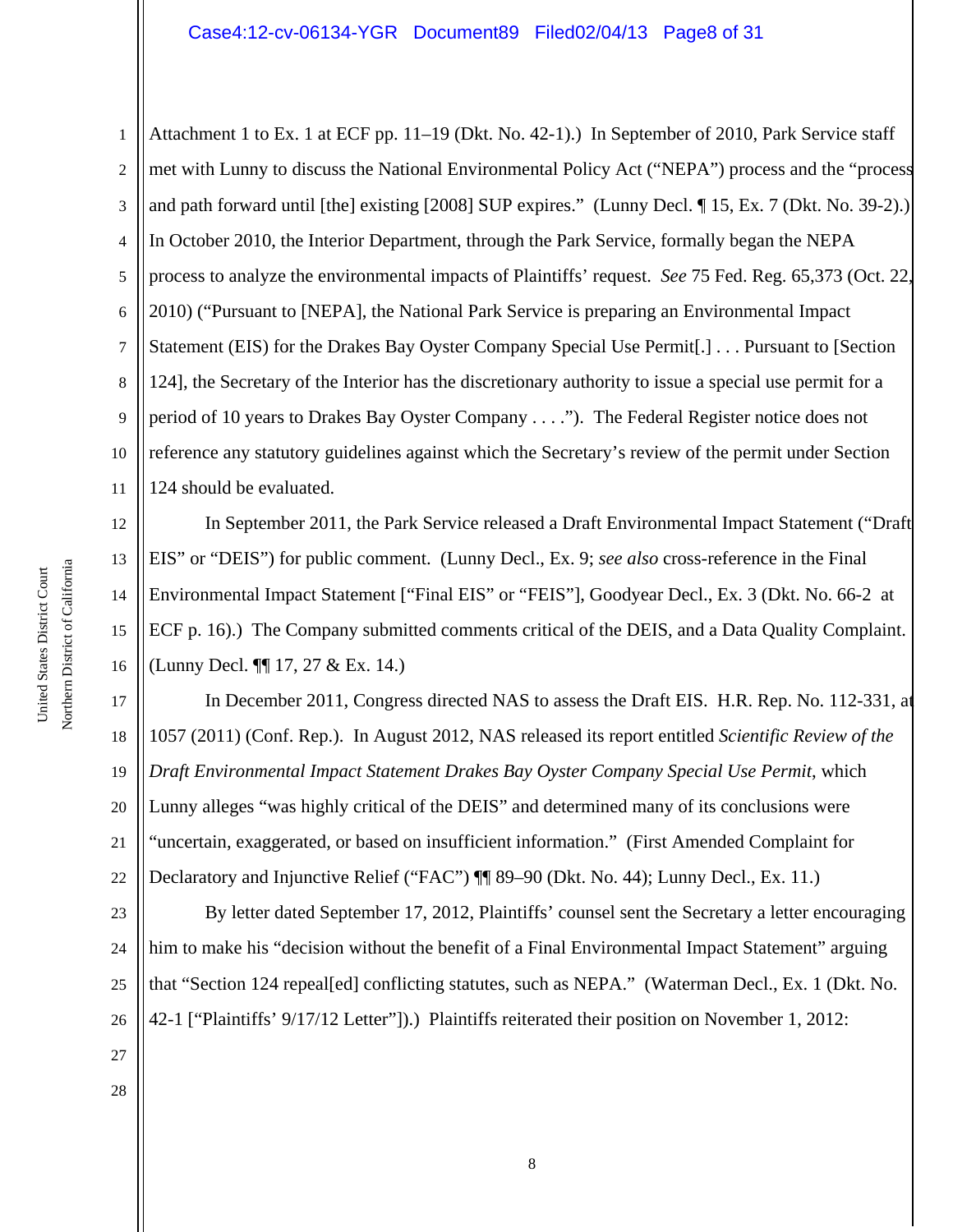### Case4:12-cv-06134-YGR Document89 Filed02/04/13 Page8 of 31

1 2 3 4 5 6 7 8 9 10 11 Attachment 1 to Ex. 1 at ECF pp. 11–19 (Dkt. No. 42-1).) In September of 2010, Park Service staff met with Lunny to discuss the National Environmental Policy Act ("NEPA") process and the "process and path forward until [the] existing [2008] SUP expires." (Lunny Decl. ¶ 15, Ex. 7 (Dkt. No. 39-2).) In October 2010, the Interior Department, through the Park Service, formally began the NEPA process to analyze the environmental impacts of Plaintiffs' request. *See* 75 Fed. Reg. 65,373 (Oct. 22, 2010) ("Pursuant to [NEPA], the National Park Service is preparing an Environmental Impact Statement (EIS) for the Drakes Bay Oyster Company Special Use Permit[.] . . . Pursuant to [Section 124], the Secretary of the Interior has the discretionary authority to issue a special use permit for a period of 10 years to Drakes Bay Oyster Company . . . ."). The Federal Register notice does not reference any statutory guidelines against which the Secretary's review of the permit under Section 124 should be evaluated.

In September 2011, the Park Service released a Draft Environmental Impact Statement ("Draft EIS" or "DEIS") for public comment. (Lunny Decl., Ex. 9; *see also* cross-reference in the Final Environmental Impact Statement ["Final EIS" or "FEIS"], Goodyear Decl., Ex. 3 (Dkt. No. 66-2 at ECF p. 16).) The Company submitted comments critical of the DEIS, and a Data Quality Complaint. (Lunny Decl. ¶¶ 17, 27 & Ex. 14.)

17 18 20 21 22 In December 2011, Congress directed NAS to assess the Draft EIS. H.R. Rep. No. 112-331, at 1057 (2011) (Conf. Rep.). In August 2012, NAS released its report entitled *Scientific Review of the Draft Environmental Impact Statement Drakes Bay Oyster Company Special Use Permit*, which Lunny alleges "was highly critical of the DEIS" and determined many of its conclusions were "uncertain, exaggerated, or based on insufficient information." (First Amended Complaint for Declaratory and Injunctive Relief ("FAC") ¶¶ 89–90 (Dkt. No. 44); Lunny Decl., Ex. 11.)

23 24 25 26 By letter dated September 17, 2012, Plaintiffs' counsel sent the Secretary a letter encouraging him to make his "decision without the benefit of a Final Environmental Impact Statement" arguing that "Section 124 repeal[ed] conflicting statutes, such as NEPA." (Waterman Decl., Ex. 1 (Dkt. No. 42-1 ["Plaintiffs' 9/17/12 Letter"]).) Plaintiffs reiterated their position on November 1, 2012:

Northern District of California Northern District of California United States District Court United States District Court

12

13

14

15

16

19

27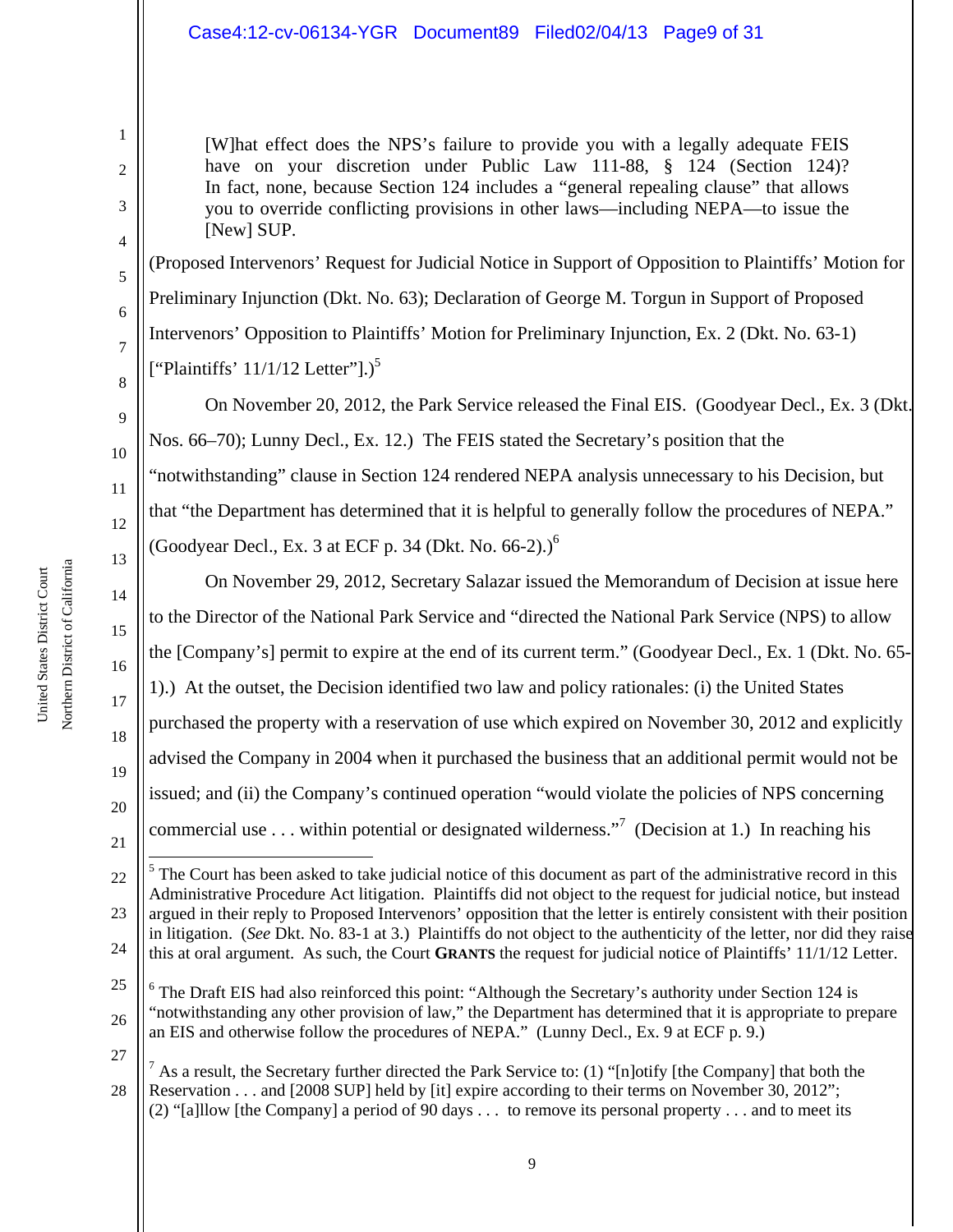# Case4:12-cv-06134-YGR Document89 Filed02/04/13 Page9 of 31

[W]hat effect does the NPS's failure to provide you with a legally adequate FEIS have on your discretion under Public Law 111-88, § 124 (Section 124)? In fact, none, because Section 124 includes a "general repealing clause" that allows you to override conflicting provisions in other laws—including NEPA—to issue the [New] SUP.

(Proposed Intervenors' Request for Judicial Notice in Support of Opposition to Plaintiffs' Motion for Preliminary Injunction (Dkt. No. 63); Declaration of George M. Torgun in Support of Proposed Intervenors' Opposition to Plaintiffs' Motion for Preliminary Injunction, Ex. 2 (Dkt. No. 63-1) ["Plaintiffs'  $11/1/12$  Letter"].)<sup>5</sup>

On November 20, 2012, the Park Service released the Final EIS. (Goodyear Decl., Ex. 3 (Dkt. Nos. 66–70); Lunny Decl., Ex. 12.) The FEIS stated the Secretary's position that the "notwithstanding" clause in Section 124 rendered NEPA analysis unnecessary to his Decision, but that "the Department has determined that it is helpful to generally follow the procedures of NEPA." (Goodyear Decl., Ex. 3 at ECF p. 34 (Dkt. No. 66-2).) $^6$ 

On November 29, 2012, Secretary Salazar issued the Memorandum of Decision at issue here to the Director of the National Park Service and "directed the National Park Service (NPS) to allow the [Company's] permit to expire at the end of its current term." (Goodyear Decl., Ex. 1 (Dkt. No. 65- 1).) At the outset, the Decision identified two law and policy rationales: (i) the United States purchased the property with a reservation of use which expired on November 30, 2012 and explicitly advised the Company in 2004 when it purchased the business that an additional permit would not be issued; and (ii) the Company's continued operation "would violate the policies of NPS concerning commercial use . . . within potential or designated wilderness."<sup>7</sup> (Decision at 1.) In reaching his

1

2

3

4

5

6

7

8

9

10

11

12

13

14

15

16

17

18

19

20

<sup>22</sup> 23 24 i  $<sup>5</sup>$  The Court has been asked to take judicial notice of this document as part of the administrative record in this</sup> Administrative Procedure Act litigation. Plaintiffs did not object to the request for judicial notice, but instead argued in their reply to Proposed Intervenors' opposition that the letter is entirely consistent with their position in litigation. (*See* Dkt. No. 83-1 at 3.) Plaintiffs do not object to the authenticity of the letter, nor did they raise this at oral argument. As such, the Court **GRANTS** the request for judicial notice of Plaintiffs' 11/1/12 Letter.

<sup>25</sup> 26 27 <sup>6</sup> The Draft EIS had also reinforced this point: "Although the Secretary's authority under Section 124 is "notwithstanding any other provision of law," the Department has determined that it is appropriate to prepare an EIS and otherwise follow the procedures of NEPA." (Lunny Decl., Ex. 9 at ECF p. 9.)

<sup>28</sup> <sup>7</sup> As a result, the Secretary further directed the Park Service to: (1) "[n]otify [the Company] that both the Reservation . . . and [2008 SUP] held by [it] expire according to their terms on November 30, 2012"; (2) "[a]llow [the Company] a period of 90 days . . . to remove its personal property . . . and to meet its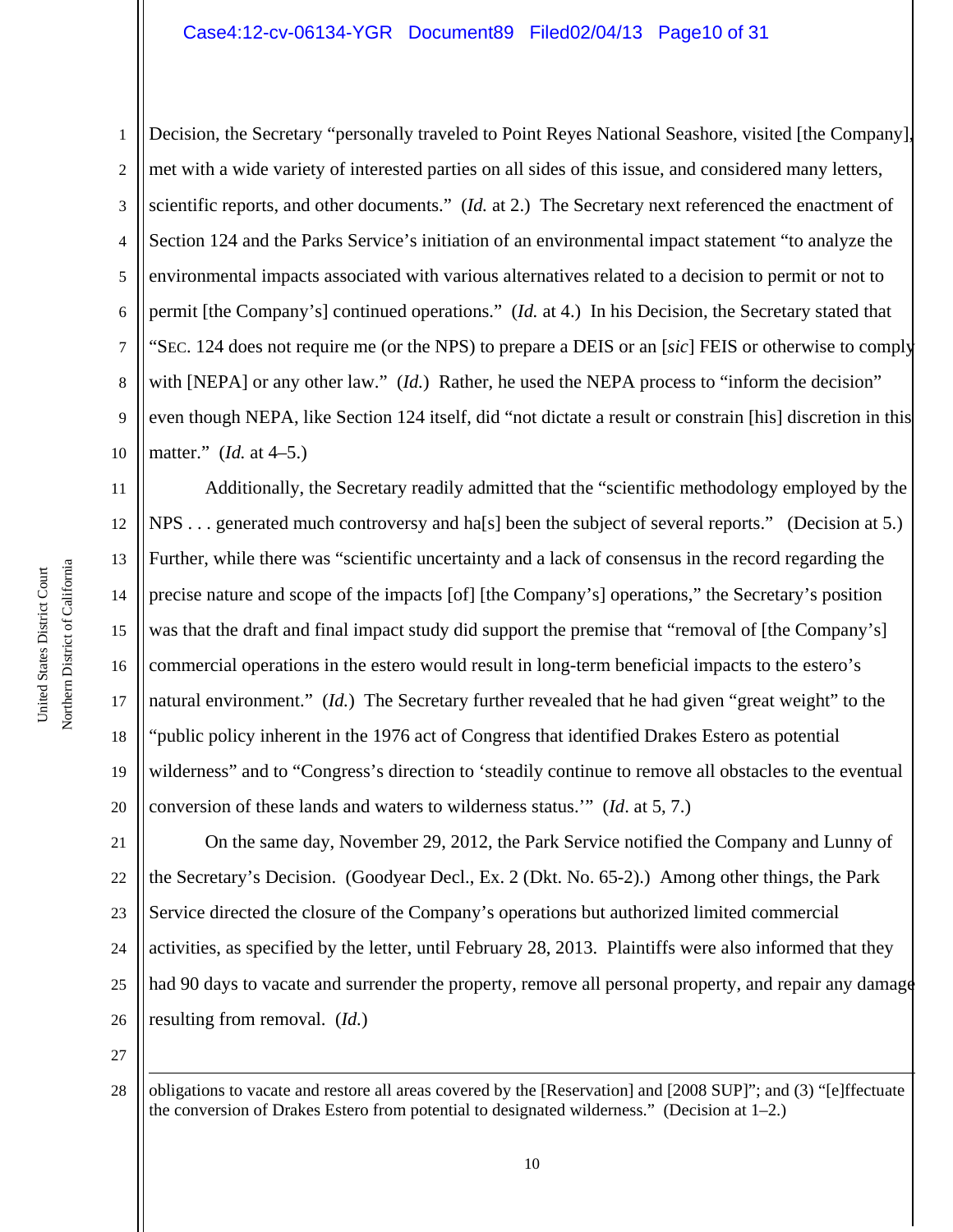#### Case4:12-cv-06134-YGR Document89 Filed02/04/13 Page10 of 31

1 2 3 4 5 6 7 8 9 10 Decision, the Secretary "personally traveled to Point Reyes National Seashore, visited [the Company], met with a wide variety of interested parties on all sides of this issue, and considered many letters, scientific reports, and other documents." (*Id.* at 2.) The Secretary next referenced the enactment of Section 124 and the Parks Service's initiation of an environmental impact statement "to analyze the environmental impacts associated with various alternatives related to a decision to permit or not to permit [the Company's] continued operations." (*Id.* at 4.) In his Decision, the Secretary stated that "SEC. 124 does not require me (or the NPS) to prepare a DEIS or an [*sic*] FEIS or otherwise to comply with [NEPA] or any other law." *(Id.)* Rather, he used the NEPA process to "inform the decision" even though NEPA, like Section 124 itself, did "not dictate a result or constrain [his] discretion in this matter." (*Id.* at 4–5.)

11 12 13 14 15 16 17 18 19 20 Additionally, the Secretary readily admitted that the "scientific methodology employed by the NPS . . . generated much controversy and ha[s] been the subject of several reports." (Decision at 5.) Further, while there was "scientific uncertainty and a lack of consensus in the record regarding the precise nature and scope of the impacts [of] [the Company's] operations," the Secretary's position was that the draft and final impact study did support the premise that "removal of [the Company's] commercial operations in the estero would result in long-term beneficial impacts to the estero's natural environment." (*Id.*) The Secretary further revealed that he had given "great weight" to the "public policy inherent in the 1976 act of Congress that identified Drakes Estero as potential wilderness" and to "Congress's direction to 'steadily continue to remove all obstacles to the eventual conversion of these lands and waters to wilderness status.'" (*Id*. at 5, 7.)

21 22 23 24 25 26 On the same day, November 29, 2012, the Park Service notified the Company and Lunny of the Secretary's Decision. (Goodyear Decl., Ex. 2 (Dkt. No. 65-2).) Among other things, the Park Service directed the closure of the Company's operations but authorized limited commercial activities, as specified by the letter, until February 28, 2013. Plaintiffs were also informed that they had 90 days to vacate and surrender the property, remove all personal property, and repair any damage resulting from removal. (*Id.*)

27

i

<sup>28</sup> obligations to vacate and restore all areas covered by the [Reservation] and [2008 SUP]"; and (3) "[e]ffectuate the conversion of Drakes Estero from potential to designated wilderness." (Decision at 1–2.)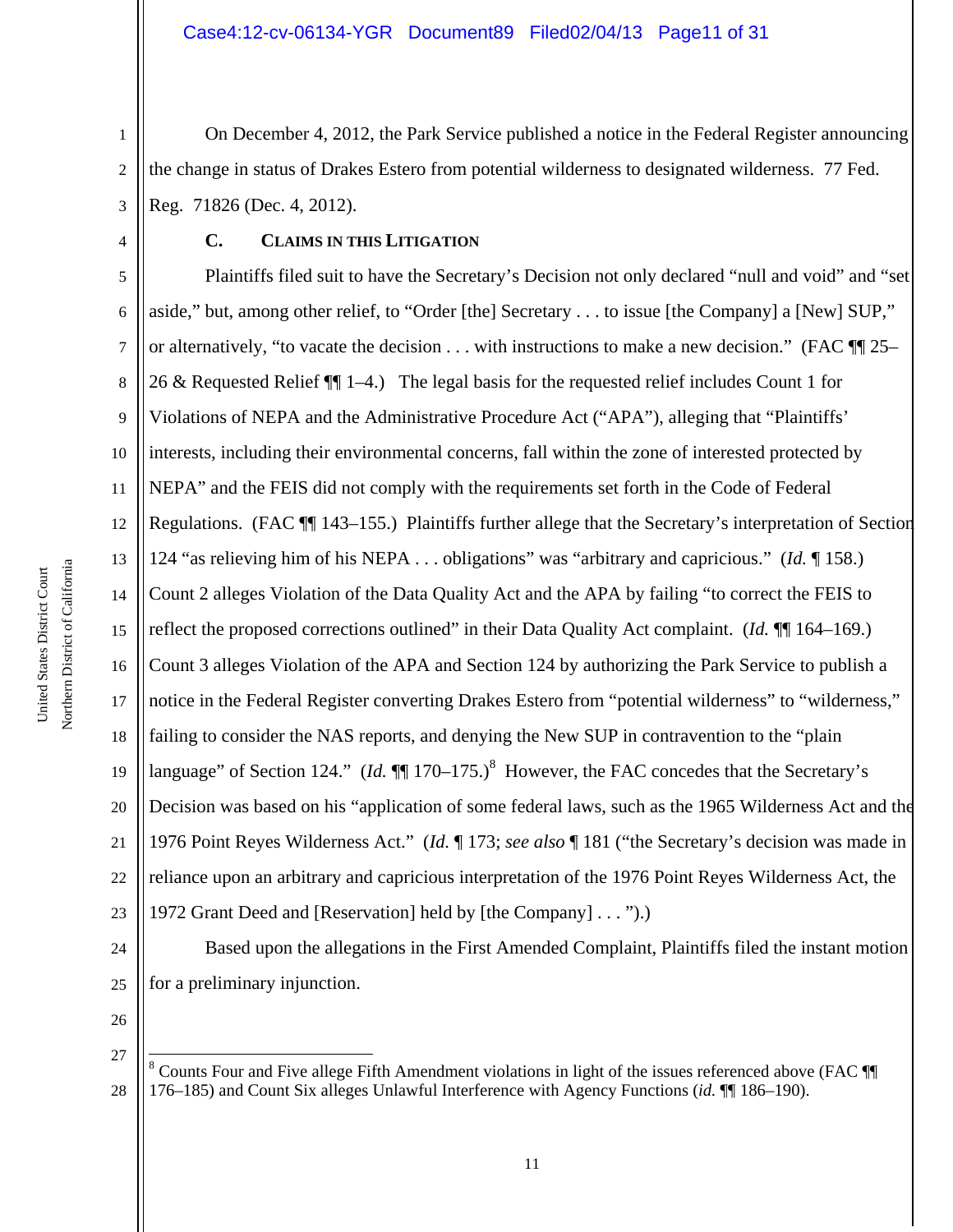1 2 3 On December 4, 2012, the Park Service published a notice in the Federal Register announcing the change in status of Drakes Estero from potential wilderness to designated wilderness. 77 Fed. Reg. 71826 (Dec. 4, 2012).

## **C. CLAIMS IN THIS LITIGATION**

5 6 7 8 9 10 11 12 13 14 15 16 17 18 19 20 21 22 23 Plaintiffs filed suit to have the Secretary's Decision not only declared "null and void" and "set aside," but, among other relief, to "Order [the] Secretary . . . to issue [the Company] a [New] SUP," or alternatively, "to vacate the decision . . . with instructions to make a new decision." (FAC  $\P$  25– 26 & Requested Relief ¶¶ 1–4.) The legal basis for the requested relief includes Count 1 for Violations of NEPA and the Administrative Procedure Act ("APA"), alleging that "Plaintiffs' interests, including their environmental concerns, fall within the zone of interested protected by NEPA" and the FEIS did not comply with the requirements set forth in the Code of Federal Regulations. (FAC ¶¶ 143–155.) Plaintiffs further allege that the Secretary's interpretation of Section 124 "as relieving him of his NEPA . . . obligations" was "arbitrary and capricious." (*Id.* ¶ 158.) Count 2 alleges Violation of the Data Quality Act and the APA by failing "to correct the FEIS to reflect the proposed corrections outlined" in their Data Quality Act complaint. (*Id.* ¶¶ 164–169.) Count 3 alleges Violation of the APA and Section 124 by authorizing the Park Service to publish a notice in the Federal Register converting Drakes Estero from "potential wilderness" to "wilderness," failing to consider the NAS reports, and denying the New SUP in contravention to the "plain language" of Section 124." (*Id.*  $\P$  170–175.)<sup>8</sup> However, the FAC concedes that the Secretary's Decision was based on his "application of some federal laws, such as the 1965 Wilderness Act and the 1976 Point Reyes Wilderness Act." (*Id.* ¶ 173; *see also* ¶ 181 ("the Secretary's decision was made in reliance upon an arbitrary and capricious interpretation of the 1976 Point Reyes Wilderness Act, the 1972 Grant Deed and [Reservation] held by [the Company] . . . ").)

24 25 Based upon the allegations in the First Amended Complaint, Plaintiffs filed the instant motion for a preliminary injunction.

26 27

i

<sup>28</sup> <sup>8</sup> Counts Four and Five allege Fifth Amendment violations in light of the issues referenced above (FAC  $\P$ 176–185) and Count Six alleges Unlawful Interference with Agency Functions (*id.* ¶¶ 186–190).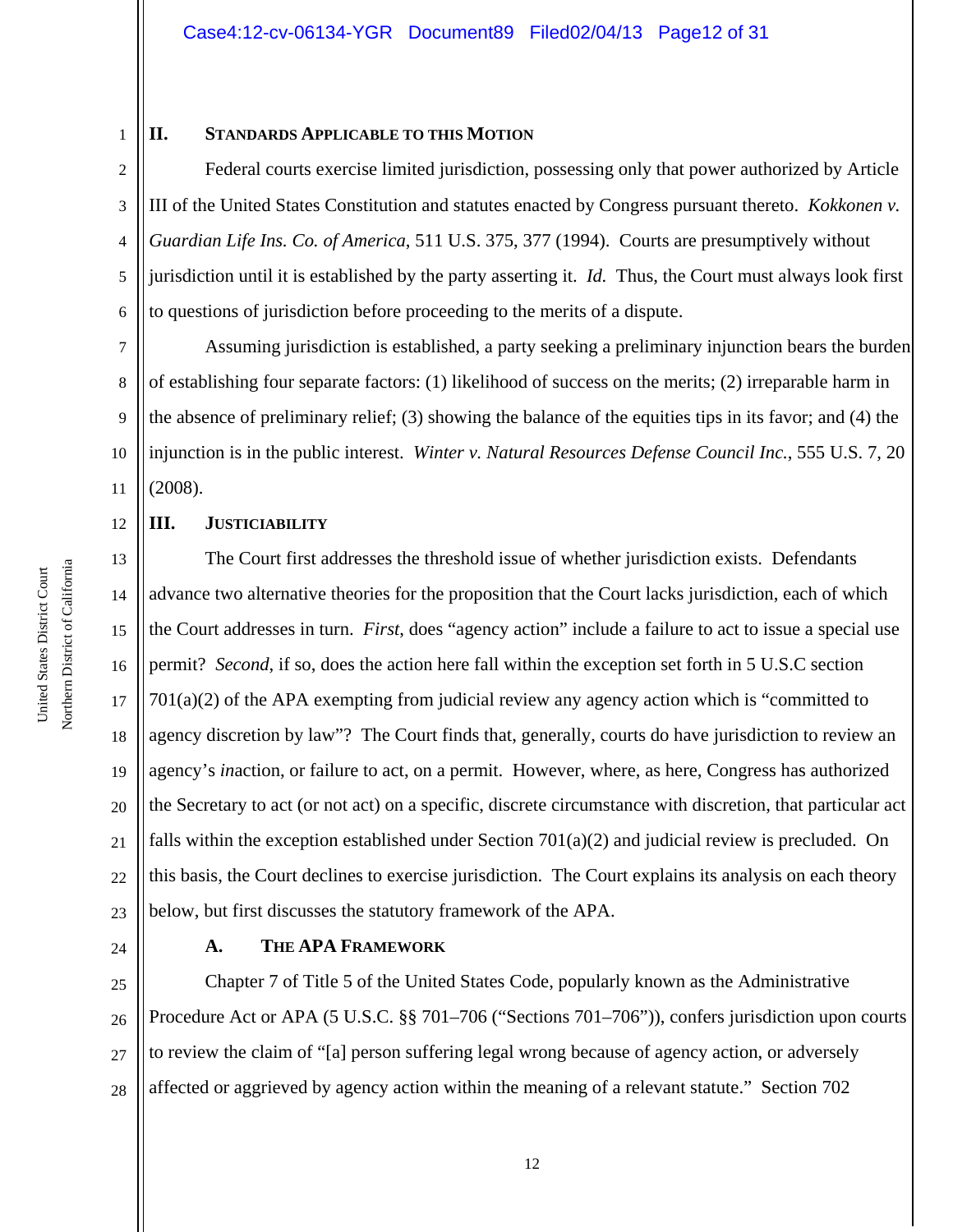## **II. STANDARDS APPLICABLE TO THIS MOTION**

2 3 4 5 6 Federal courts exercise limited jurisdiction, possessing only that power authorized by Article III of the United States Constitution and statutes enacted by Congress pursuant thereto. *Kokkonen v. Guardian Life Ins. Co. of America*, 511 U.S. 375, 377 (1994). Courts are presumptively without jurisdiction until it is established by the party asserting it. *Id.* Thus, the Court must always look first to questions of jurisdiction before proceeding to the merits of a dispute.

7 8 9 10 11 Assuming jurisdiction is established, a party seeking a preliminary injunction bears the burden of establishing four separate factors: (1) likelihood of success on the merits; (2) irreparable harm in the absence of preliminary relief; (3) showing the balance of the equities tips in its favor; and (4) the injunction is in the public interest. *Winter v. Natural Resources Defense Council Inc.*, 555 U.S. 7, 20 (2008).

# **III. JUSTICIABILITY**

13 14 15 16 17 18 19 20 21 22 23 The Court first addresses the threshold issue of whether jurisdiction exists. Defendants advance two alternative theories for the proposition that the Court lacks jurisdiction, each of which the Court addresses in turn. *First*, does "agency action" include a failure to act to issue a special use permit? *Second*, if so, does the action here fall within the exception set forth in 5 U.S.C section 701(a)(2) of the APA exempting from judicial review any agency action which is "committed to agency discretion by law"? The Court finds that, generally, courts do have jurisdiction to review an agency's *in*action, or failure to act, on a permit. However, where, as here, Congress has authorized the Secretary to act (or not act) on a specific, discrete circumstance with discretion, that particular act falls within the exception established under Section  $701(a)(2)$  and judicial review is precluded. On this basis, the Court declines to exercise jurisdiction. The Court explains its analysis on each theory below, but first discusses the statutory framework of the APA.

24

1

12

## **A. THE APA FRAMEWORK**

25 26 27 28 Chapter 7 of Title 5 of the United States Code, popularly known as the Administrative Procedure Act or APA (5 U.S.C. §§ 701–706 ("Sections 701–706")), confers jurisdiction upon courts to review the claim of "[a] person suffering legal wrong because of agency action, or adversely affected or aggrieved by agency action within the meaning of a relevant statute." Section 702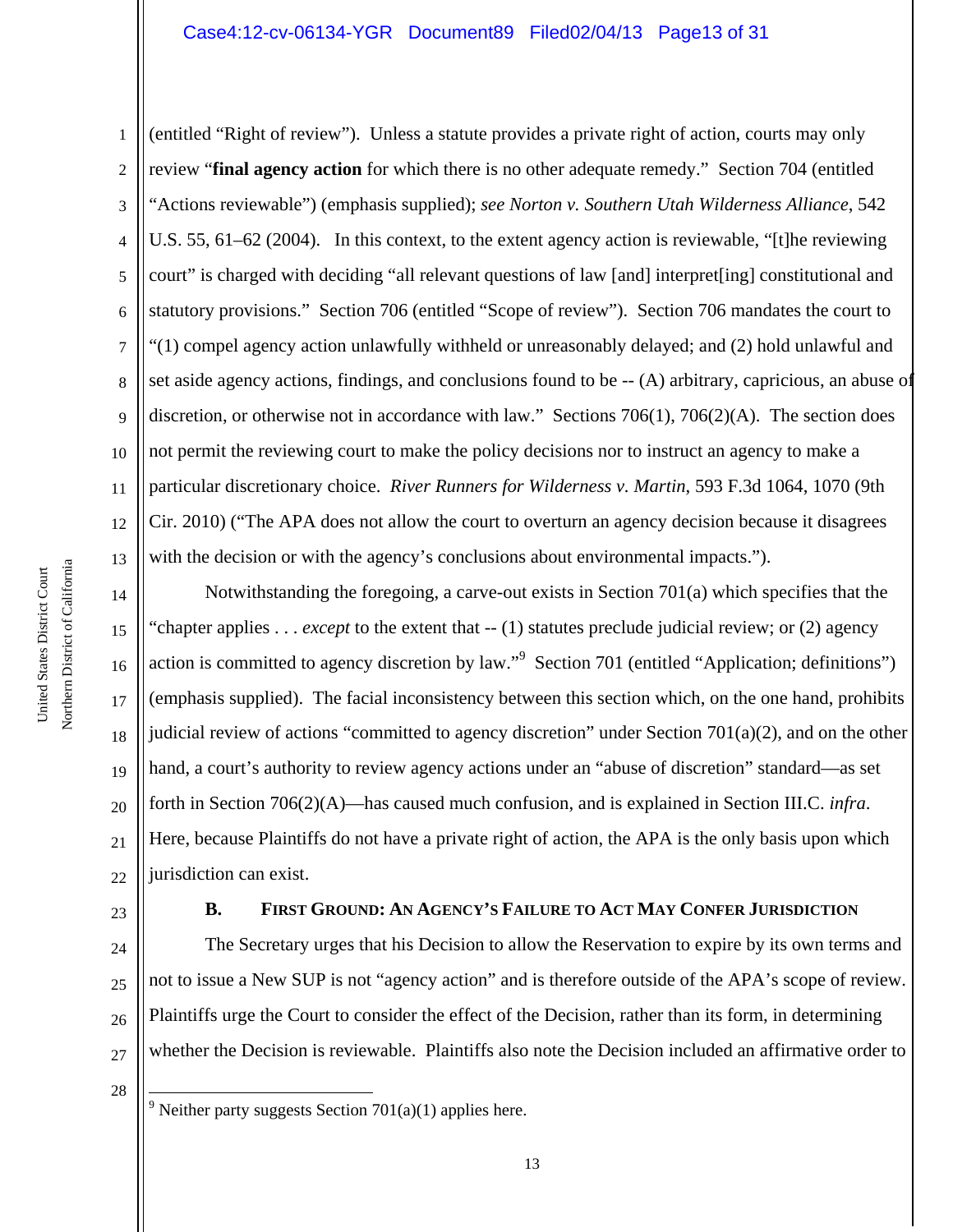### Case4:12-cv-06134-YGR Document89 Filed02/04/13 Page13 of 31

1 2 3 4 5 6 7 8 9 10 11 12 13 (entitled "Right of review"). Unless a statute provides a private right of action, courts may only review "**final agency action** for which there is no other adequate remedy." Section 704 (entitled "Actions reviewable") (emphasis supplied); *see Norton v. Southern Utah Wilderness Alliance*, 542 U.S. 55, 61–62 (2004). In this context, to the extent agency action is reviewable, "[t]he reviewing court" is charged with deciding "all relevant questions of law [and] interpret[ing] constitutional and statutory provisions." Section 706 (entitled "Scope of review"). Section 706 mandates the court to "(1) compel agency action unlawfully withheld or unreasonably delayed; and (2) hold unlawful and set aside agency actions, findings, and conclusions found to be -- (A) arbitrary, capricious, an abuse of discretion, or otherwise not in accordance with law." Sections 706(1), 706(2)(A). The section does not permit the reviewing court to make the policy decisions nor to instruct an agency to make a particular discretionary choice. *River Runners for Wilderness v. Martin*, 593 F.3d 1064, 1070 (9th Cir. 2010) ("The APA does not allow the court to overturn an agency decision because it disagrees with the decision or with the agency's conclusions about environmental impacts.").

14 15 16 17 18 19 20 21 22 Notwithstanding the foregoing, a carve-out exists in Section 701(a) which specifies that the "chapter applies . . . *except* to the extent that -- (1) statutes preclude judicial review; or (2) agency action is committed to agency discretion by law."<sup>9</sup> Section 701 (entitled "Application; definitions") (emphasis supplied). The facial inconsistency between this section which, on the one hand, prohibits judicial review of actions "committed to agency discretion" under Section  $701(a)(2)$ , and on the other hand, a court's authority to review agency actions under an "abuse of discretion" standard—as set forth in Section 706(2)(A)—has caused much confusion, and is explained in Section III.C. *infra*. Here, because Plaintiffs do not have a private right of action, the APA is the only basis upon which jurisdiction can exist.

23

# **B. FIRST GROUND: AN AGENCY'S FAILURE TO ACT MAY CONFER JURISDICTION**

24 25 26 27 The Secretary urges that his Decision to allow the Reservation to expire by its own terms and not to issue a New SUP is not "agency action" and is therefore outside of the APA's scope of review. Plaintiffs urge the Court to consider the effect of the Decision, rather than its form, in determining whether the Decision is reviewable. Plaintiffs also note the Decision included an affirmative order to

28

÷

<sup>9</sup> Neither party suggests Section 701(a)(1) applies here.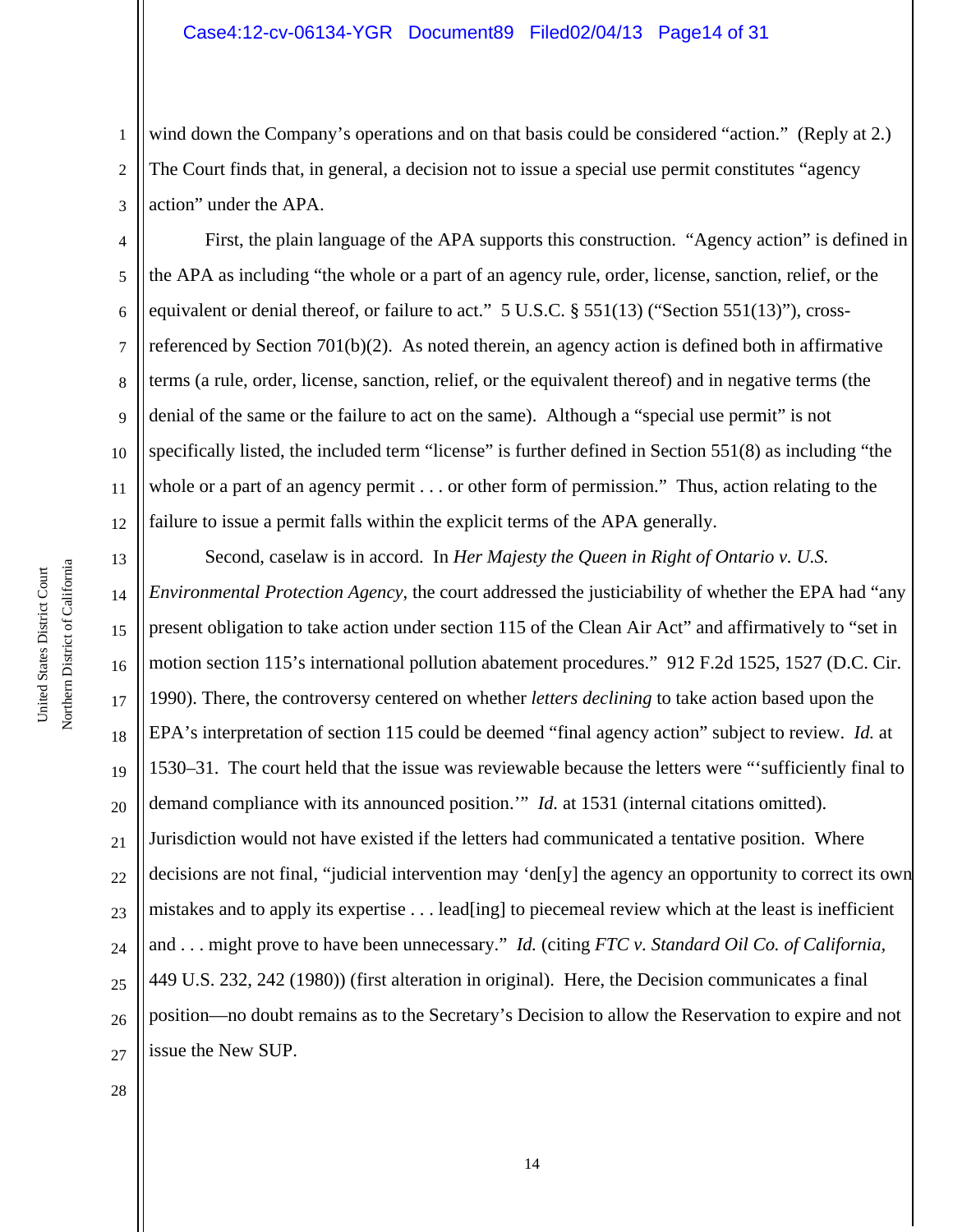1 2 3 wind down the Company's operations and on that basis could be considered "action." (Reply at 2.) The Court finds that, in general, a decision not to issue a special use permit constitutes "agency action" under the APA.

4 5 6 8 10 12 First, the plain language of the APA supports this construction. "Agency action" is defined in the APA as including "the whole or a part of an agency rule, order, license, sanction, relief, or the equivalent or denial thereof, or failure to act." 5 U.S.C. § 551(13) ("Section 551(13)"), crossreferenced by Section 701(b)(2). As noted therein, an agency action is defined both in affirmative terms (a rule, order, license, sanction, relief, or the equivalent thereof) and in negative terms (the denial of the same or the failure to act on the same). Although a "special use permit" is not specifically listed, the included term "license" is further defined in Section 551(8) as including "the whole or a part of an agency permit . . . or other form of permission." Thus, action relating to the failure to issue a permit falls within the explicit terms of the APA generally.

13 14 15 16 17 18 19 20 21 22 23 24 25 26 27 Second, caselaw is in accord. In *Her Majesty the Queen in Right of Ontario v. U.S. Environmental Protection Agency*, the court addressed the justiciability of whether the EPA had "any present obligation to take action under section 115 of the Clean Air Act" and affirmatively to "set in motion section 115's international pollution abatement procedures." 912 F.2d 1525, 1527 (D.C. Cir. 1990). There, the controversy centered on whether *letters declining* to take action based upon the EPA's interpretation of section 115 could be deemed "final agency action" subject to review. *Id.* at 1530–31. The court held that the issue was reviewable because the letters were "'sufficiently final to demand compliance with its announced position.'" *Id.* at 1531 (internal citations omitted). Jurisdiction would not have existed if the letters had communicated a tentative position. Where decisions are not final, "judicial intervention may 'den[y] the agency an opportunity to correct its own mistakes and to apply its expertise . . . lead[ing] to piecemeal review which at the least is inefficient and . . . might prove to have been unnecessary." *Id.* (citing *FTC v. Standard Oil Co. of California,* 449 U.S. 232, 242 (1980)) (first alteration in original). Here, the Decision communicates a final position—no doubt remains as to the Secretary's Decision to allow the Reservation to expire and not issue the New SUP.

7

9

11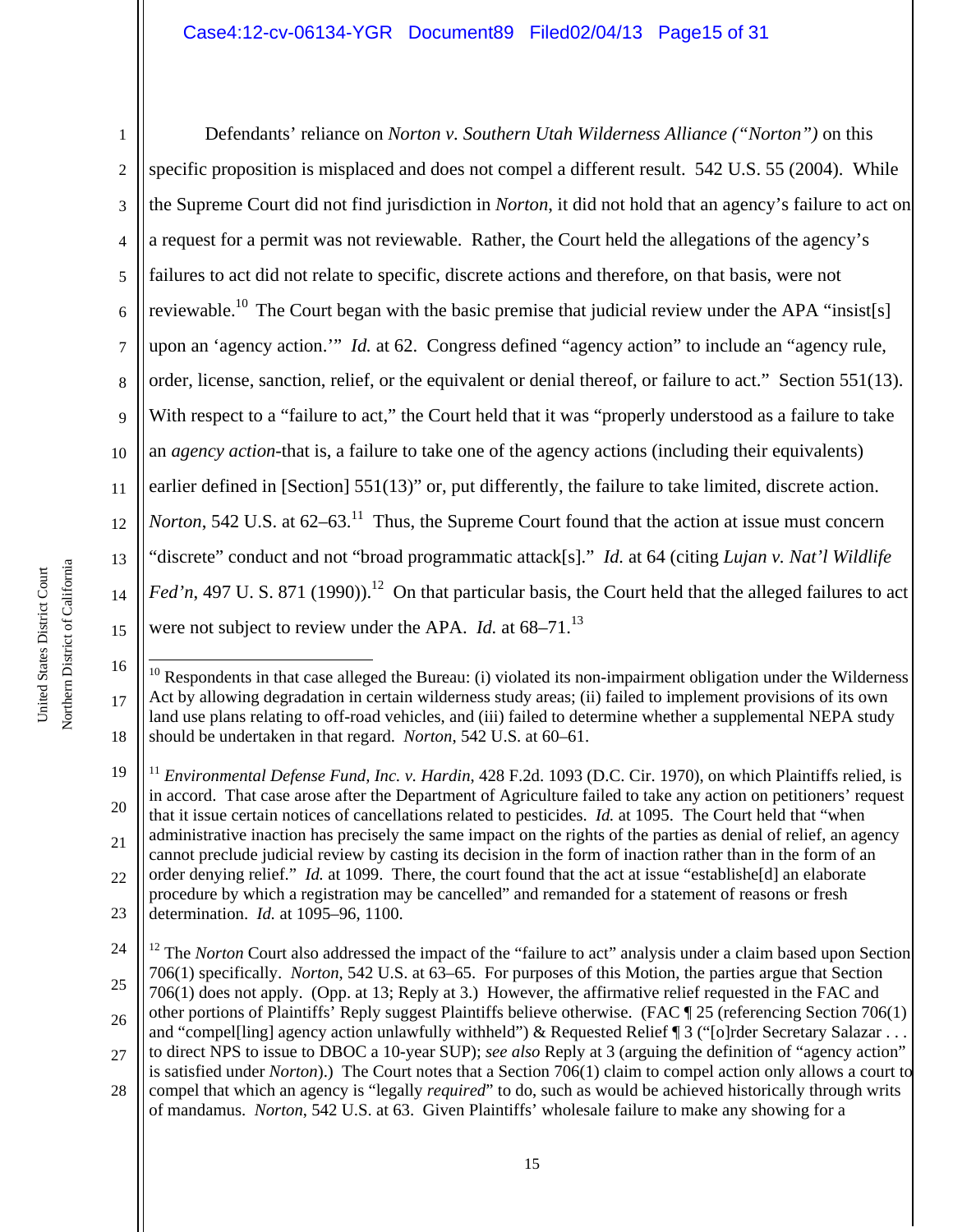1 2 3 4 5 6 7 8 9 10 11 12 13 14 15 Defendants' reliance on *Norton v. Southern Utah Wilderness Alliance ("Norton")* on this specific proposition is misplaced and does not compel a different result. 542 U.S. 55 (2004). While the Supreme Court did not find jurisdiction in *Norton*, it did not hold that an agency's failure to act on a request for a permit was not reviewable. Rather, the Court held the allegations of the agency's failures to act did not relate to specific, discrete actions and therefore, on that basis, were not reviewable.<sup>10</sup> The Court began with the basic premise that judicial review under the APA "insist[s] upon an 'agency action.'" *Id.* at 62. Congress defined "agency action" to include an "agency rule, order, license, sanction, relief, or the equivalent or denial thereof, or failure to act." Section 551(13). With respect to a "failure to act," the Court held that it was "properly understood as a failure to take an *agency action*-that is, a failure to take one of the agency actions (including their equivalents) earlier defined in [Section] 551(13)" or, put differently, the failure to take limited, discrete action. *Norton*, 542 U.S. at  $62-63$ <sup>11</sup>. Thus, the Supreme Court found that the action at issue must concern "discrete" conduct and not "broad programmatic attack[s]." *Id.* at 64 (citing *Lujan v. Nat'l Wildlife Fed'n*, 497 U. S. 871 (1990)).<sup>12</sup> On that particular basis, the Court held that the alleged failures to act were not subject to review under the APA. *Id.* at 68–71.<sup>13</sup>

÷

<sup>16</sup> 17 18  $10$  Respondents in that case alleged the Bureau: (i) violated its non-impairment obligation under the Wilderness Act by allowing degradation in certain wilderness study areas; (ii) failed to implement provisions of its own land use plans relating to off-road vehicles, and (iii) failed to determine whether a supplemental NEPA study should be undertaken in that regard. *Norton*, 542 U.S. at 60–61.

<sup>19</sup> 20 21 22 23 <sup>11</sup> *Environmental Defense Fund, Inc. v. Hardin,* 428 F.2d. 1093 (D.C. Cir. 1970), on which Plaintiffs relied, is in accord. That case arose after the Department of Agriculture failed to take any action on petitioners' request that it issue certain notices of cancellations related to pesticides. *Id.* at 1095. The Court held that "when administrative inaction has precisely the same impact on the rights of the parties as denial of relief, an agency cannot preclude judicial review by casting its decision in the form of inaction rather than in the form of an order denying relief." *Id.* at 1099. There, the court found that the act at issue "establishe[d] an elaborate procedure by which a registration may be cancelled" and remanded for a statement of reasons or fresh determination. *Id.* at 1095–96, 1100.

<sup>24</sup> 25 <sup>12</sup> The *Norton* Court also addressed the impact of the "failure to act" analysis under a claim based upon Section 706(1) specifically. *Norton*, 542 U.S. at 63–65. For purposes of this Motion, the parties argue that Section

<sup>26</sup> 706(1) does not apply. (Opp. at 13; Reply at 3.) However, the affirmative relief requested in the FAC and other portions of Plaintiffs' Reply suggest Plaintiffs believe otherwise. (FAC ¶ 25 (referencing Section 706(1) and "compelling] agency action unlawfully withheld") & Requested Relief ¶ 3 ("[o]rder Secretary Salazar . . .

<sup>27</sup> to direct NPS to issue to DBOC a 10-year SUP); *see also* Reply at 3 (arguing the definition of "agency action" is satisfied under *Norton*).) The Court notes that a Section 706(1) claim to compel action only allows a court to

<sup>28</sup> compel that which an agency is "legally *required*" to do, such as would be achieved historically through writs of mandamus. *Norton*, 542 U.S. at 63. Given Plaintiffs' wholesale failure to make any showing for a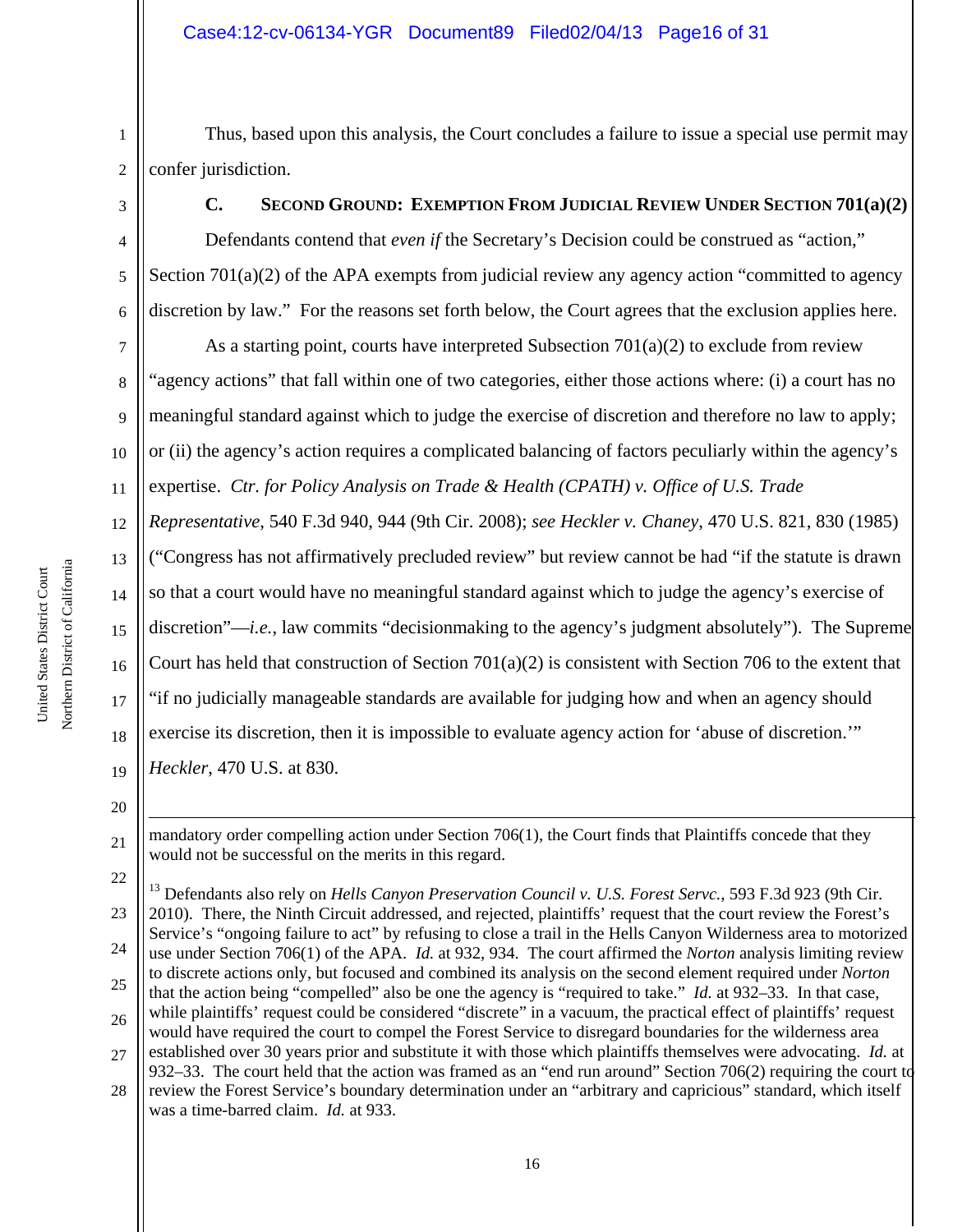1 2 Thus, based upon this analysis, the Court concludes a failure to issue a special use permit may confer jurisdiction.

3

4

5

6

# **C. SECOND GROUND: EXEMPTION FROM JUDICIAL REVIEW UNDER SECTION 701(a)(2)**

Defendants contend that *even if* the Secretary's Decision could be construed as "action," Section 701(a)(2) of the APA exempts from judicial review any agency action "committed to agency discretion by law." For the reasons set forth below, the Court agrees that the exclusion applies here.

7 8 9 10 11 12 As a starting point, courts have interpreted Subsection  $701(a)(2)$  to exclude from review "agency actions" that fall within one of two categories, either those actions where: (i) a court has no meaningful standard against which to judge the exercise of discretion and therefore no law to apply; or (ii) the agency's action requires a complicated balancing of factors peculiarly within the agency's expertise. *Ctr. for Policy Analysis on Trade & Health (CPATH) v. Office of U.S. Trade Representative*, 540 F.3d 940, 944 (9th Cir. 2008); *see Heckler v. Chaney*, 470 U.S. 821, 830 (1985)

("Congress has not affirmatively precluded review" but review cannot be had "if the statute is drawn

so that a court would have no meaningful standard against which to judge the agency's exercise of

15 discretion"—*i.e.*, law commits "decisionmaking to the agency's judgment absolutely"). The Supreme

16 Court has held that construction of Section  $701(a)(2)$  is consistent with Section 706 to the extent that

"if no judicially manageable standards are available for judging how and when an agency should

18 exercise its discretion, then it is impossible to evaluate agency action for 'abuse of discretion.'"

19 *Heckler*, 470 U.S. at 830.

20

÷

21

13

14

17

mandatory order compelling action under Section 706(1), the Court finds that Plaintiffs concede that they would not be successful on the merits in this regard.

<sup>22</sup> 23 24 25 26 27 <sup>13</sup> Defendants also rely on *Hells Canyon Preservation Council v. U.S. Forest Servc.*, 593 F.3d 923 (9th Cir. 2010). There, the Ninth Circuit addressed, and rejected, plaintiffs' request that the court review the Forest's Service's "ongoing failure to act" by refusing to close a trail in the Hells Canyon Wilderness area to motorized use under Section 706(1) of the APA. *Id.* at 932, 934. The court affirmed the *Norton* analysis limiting review to discrete actions only, but focused and combined its analysis on the second element required under *Norton* that the action being "compelled" also be one the agency is "required to take." *Id.* at 932–33. In that case, while plaintiffs' request could be considered "discrete" in a vacuum, the practical effect of plaintiffs' request would have required the court to compel the Forest Service to disregard boundaries for the wilderness area established over 30 years prior and substitute it with those which plaintiffs themselves were advocating. *Id.* at 932–33. The court held that the action was framed as an "end run around" Section 706(2) requiring the court to

<sup>28</sup> review the Forest Service's boundary determination under an "arbitrary and capricious" standard, which itself was a time-barred claim. *Id.* at 933.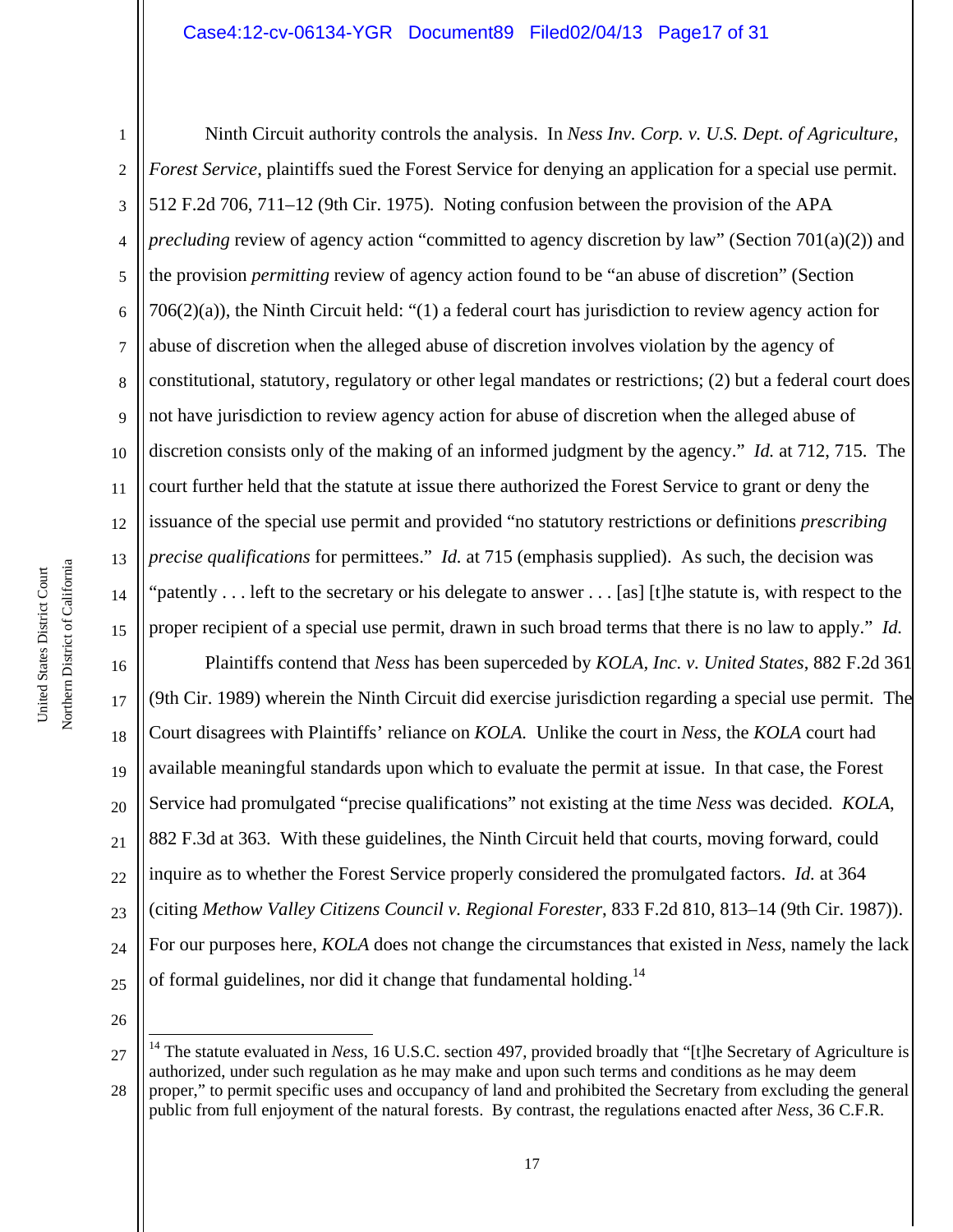# Case4:12-cv-06134-YGR Document89 Filed02/04/13 Page17 of 31

Northern District of California Northern District of California United States District Court United States District Court

1 2 3 4 5 6 7 8 9 10 11 12 13 14 15 Ninth Circuit authority controls the analysis. In *Ness Inv. Corp. v. U.S. Dept. of Agriculture, Forest Service*, plaintiffs sued the Forest Service for denying an application for a special use permit. 512 F.2d 706, 711–12 (9th Cir. 1975). Noting confusion between the provision of the APA *precluding* review of agency action "committed to agency discretion by law" (Section 701(a)(2)) and the provision *permitting* review of agency action found to be "an abuse of discretion" (Section 706(2)(a)), the Ninth Circuit held: "(1) a federal court has jurisdiction to review agency action for abuse of discretion when the alleged abuse of discretion involves violation by the agency of constitutional, statutory, regulatory or other legal mandates or restrictions; (2) but a federal court does not have jurisdiction to review agency action for abuse of discretion when the alleged abuse of discretion consists only of the making of an informed judgment by the agency." *Id.* at 712, 715. The court further held that the statute at issue there authorized the Forest Service to grant or deny the issuance of the special use permit and provided "no statutory restrictions or definitions *prescribing precise qualifications* for permittees." *Id.* at 715 (emphasis supplied). As such, the decision was 'patently . . . left to the secretary or his delegate to answer . . . [as] [t]he statute is, with respect to the proper recipient of a special use permit, drawn in such broad terms that there is no law to apply." *Id.*

16 17 18 19 20 21 22 23 24 25 Plaintiffs contend that *Ness* has been superceded by *KOLA, Inc. v. United States*, 882 F.2d 361 (9th Cir. 1989) wherein the Ninth Circuit did exercise jurisdiction regarding a special use permit. The Court disagrees with Plaintiffs' reliance on *KOLA.* Unlike the court in *Ness*, the *KOLA* court had available meaningful standards upon which to evaluate the permit at issue. In that case, the Forest Service had promulgated "precise qualifications" not existing at the time *Ness* was decided. *KOLA*, 882 F.3d at 363. With these guidelines, the Ninth Circuit held that courts, moving forward, could inquire as to whether the Forest Service properly considered the promulgated factors. *Id.* at 364 (citing *Methow Valley Citizens Council v. Regional Forester*, 833 F.2d 810, 813–14 (9th Cir. 1987)). For our purposes here, *KOLA* does not change the circumstances that existed in *Ness*, namely the lack of formal guidelines, nor did it change that fundamental holding.<sup>14</sup>

26

÷

27 28 <sup>14</sup> The statute evaluated in *Ness*, 16 U.S.C. section 497, provided broadly that "[t]he Secretary of Agriculture is authorized, under such regulation as he may make and upon such terms and conditions as he may deem proper," to permit specific uses and occupancy of land and prohibited the Secretary from excluding the general public from full enjoyment of the natural forests. By contrast, the regulations enacted after *Ness*, 36 C.F.R.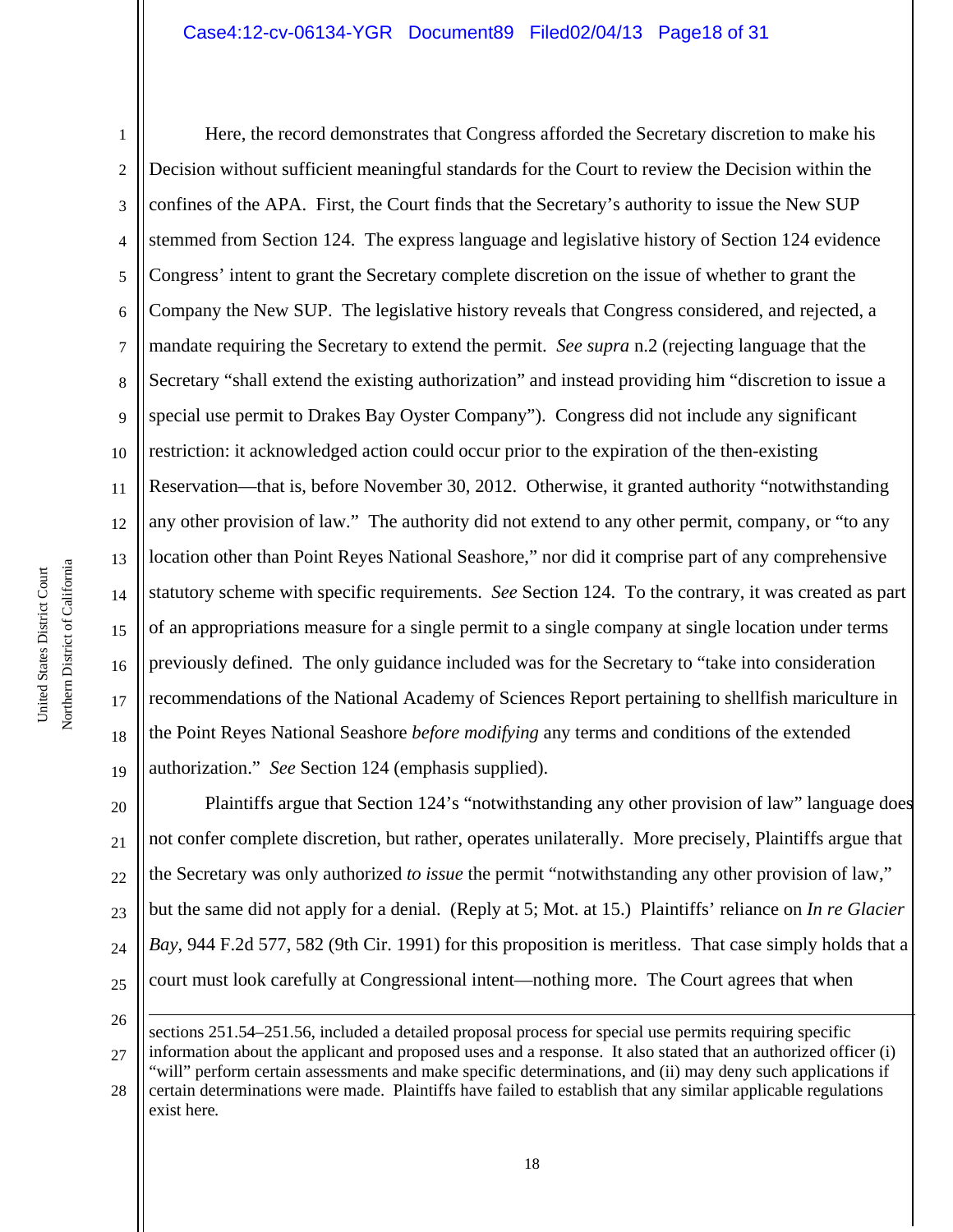# Case4:12-cv-06134-YGR Document89 Filed02/04/13 Page18 of 31

1 2 3 4 5 6 7 8 9 10 11 12 13 14 15 16 17 18 19 Here, the record demonstrates that Congress afforded the Secretary discretion to make his Decision without sufficient meaningful standards for the Court to review the Decision within the confines of the APA. First, the Court finds that the Secretary's authority to issue the New SUP stemmed from Section 124. The express language and legislative history of Section 124 evidence Congress' intent to grant the Secretary complete discretion on the issue of whether to grant the Company the New SUP. The legislative history reveals that Congress considered, and rejected, a mandate requiring the Secretary to extend the permit. *See supra* n.2 (rejecting language that the Secretary "shall extend the existing authorization" and instead providing him "discretion to issue a special use permit to Drakes Bay Oyster Company"). Congress did not include any significant restriction: it acknowledged action could occur prior to the expiration of the then-existing Reservation—that is, before November 30, 2012. Otherwise, it granted authority "notwithstanding any other provision of law." The authority did not extend to any other permit, company, or "to any location other than Point Reyes National Seashore," nor did it comprise part of any comprehensive statutory scheme with specific requirements. *See* Section 124. To the contrary, it was created as part of an appropriations measure for a single permit to a single company at single location under terms previously defined. The only guidance included was for the Secretary to "take into consideration recommendations of the National Academy of Sciences Report pertaining to shellfish mariculture in the Point Reyes National Seashore *before modifying* any terms and conditions of the extended authorization." *See* Section 124 (emphasis supplied).

20 21 22 23 24 25 Plaintiffs argue that Section 124's "notwithstanding any other provision of law" language does not confer complete discretion, but rather, operates unilaterally. More precisely, Plaintiffs argue that the Secretary was only authorized *to issue* the permit "notwithstanding any other provision of law," but the same did not apply for a denial. (Reply at 5; Mot. at 15.) Plaintiffs' reliance on *In re Glacier Bay*, 944 F.2d 577, 582 (9th Cir. 1991) for this proposition is meritless. That case simply holds that a court must look carefully at Congressional intent—nothing more. The Court agrees that when

26

i

<sup>27</sup> sections 251.54–251.56, included a detailed proposal process for special use permits requiring specific information about the applicant and proposed uses and a response. It also stated that an authorized officer (i) "will" perform certain assessments and make specific determinations, and (ii) may deny such applications if

<sup>28</sup> certain determinations were made. Plaintiffs have failed to establish that any similar applicable regulations exist here*.*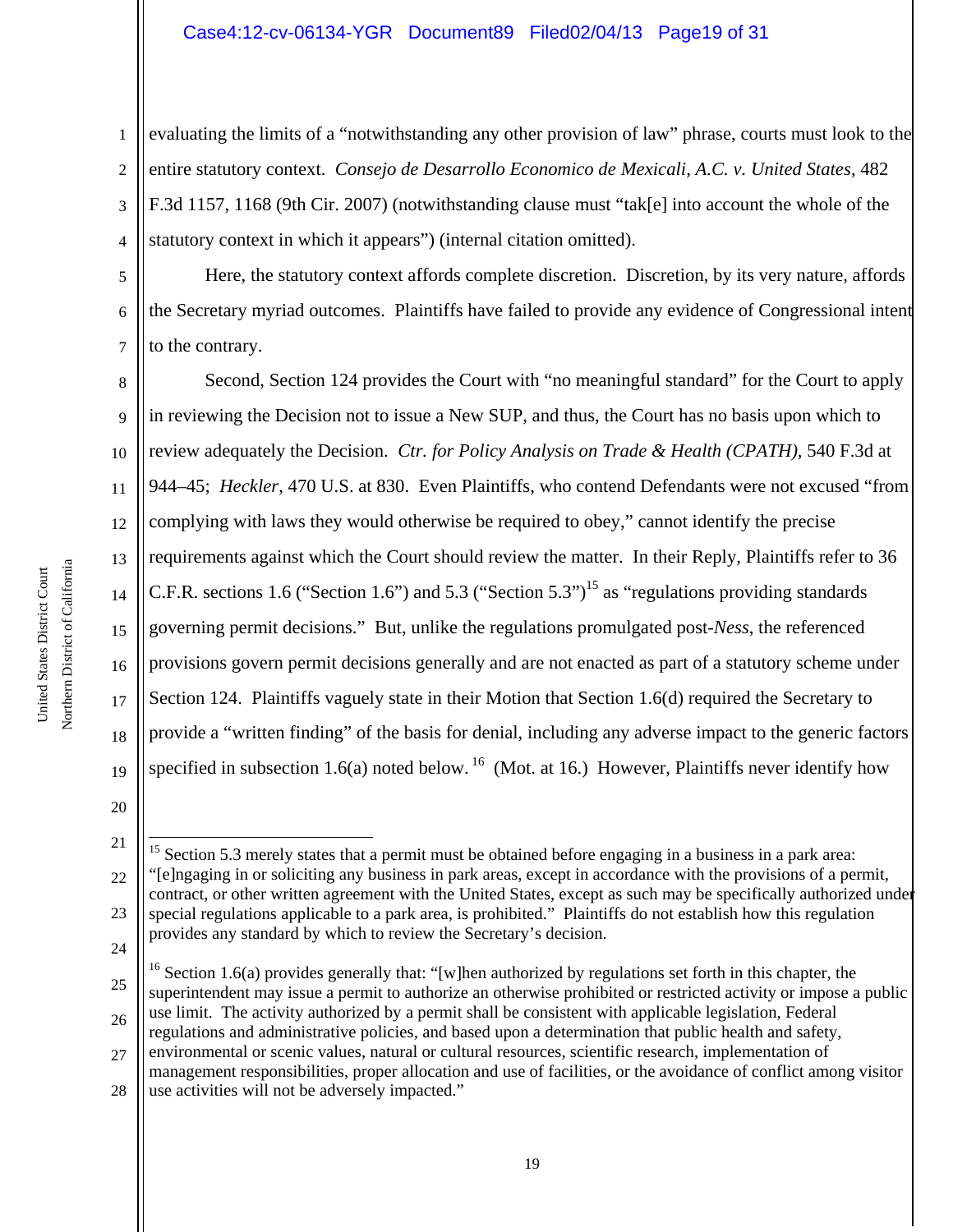## Case4:12-cv-06134-YGR Document89 Filed02/04/13 Page19 of 31

1 2 3 4 evaluating the limits of a "notwithstanding any other provision of law" phrase, courts must look to the entire statutory context. *Consejo de Desarrollo Economico de Mexicali, A.C. v. United States*, 482 F.3d 1157, 1168 (9th Cir. 2007) (notwithstanding clause must "tak[e] into account the whole of the statutory context in which it appears") (internal citation omitted).

5 6 7 Here, the statutory context affords complete discretion. Discretion, by its very nature, affords the Secretary myriad outcomes. Plaintiffs have failed to provide any evidence of Congressional intent to the contrary.

8 9 10 11 12 13 14 15 16 17 18 19 Second, Section 124 provides the Court with "no meaningful standard" for the Court to apply in reviewing the Decision not to issue a New SUP, and thus, the Court has no basis upon which to review adequately the Decision. *Ctr. for Policy Analysis on Trade & Health (CPATH)*, 540 F.3d at 944–45; *Heckler*, 470 U.S. at 830. Even Plaintiffs, who contend Defendants were not excused "from complying with laws they would otherwise be required to obey," cannot identify the precise requirements against which the Court should review the matter. In their Reply, Plaintiffs refer to 36 C.F.R. sections 1.6 ("Section 1.6") and 5.3 ("Section 5.3")<sup>15</sup> as "regulations providing standards governing permit decisions." But, unlike the regulations promulgated post-*Ness*, the referenced provisions govern permit decisions generally and are not enacted as part of a statutory scheme under Section 124. Plaintiffs vaguely state in their Motion that Section 1.6(d) required the Secretary to provide a "written finding" of the basis for denial, including any adverse impact to the generic factors specified in subsection 1.6(a) noted below. <sup>16</sup> (Mot. at 16.) However, Plaintiffs never identify how

<sup>21</sup> 22 23 24 i  $15$  Section 5.3 merely states that a permit must be obtained before engaging in a business in a park area: "[e]ngaging in or soliciting any business in park areas, except in accordance with the provisions of a permit, contract, or other written agreement with the United States, except as such may be specifically authorized under special regulations applicable to a park area, is prohibited." Plaintiffs do not establish how this regulation provides any standard by which to review the Secretary's decision.

<sup>25</sup> 26 <sup>16</sup> Section 1.6(a) provides generally that: "[w]hen authorized by regulations set forth in this chapter, the superintendent may issue a permit to authorize an otherwise prohibited or restricted activity or impose a public use limit. The activity authorized by a permit shall be consistent with applicable legislation, Federal regulations and administrative policies, and based upon a determination that public health and safety,

<sup>27</sup> environmental or scenic values, natural or cultural resources, scientific research, implementation of management responsibilities, proper allocation and use of facilities, or the avoidance of conflict among visitor

<sup>28</sup> use activities will not be adversely impacted."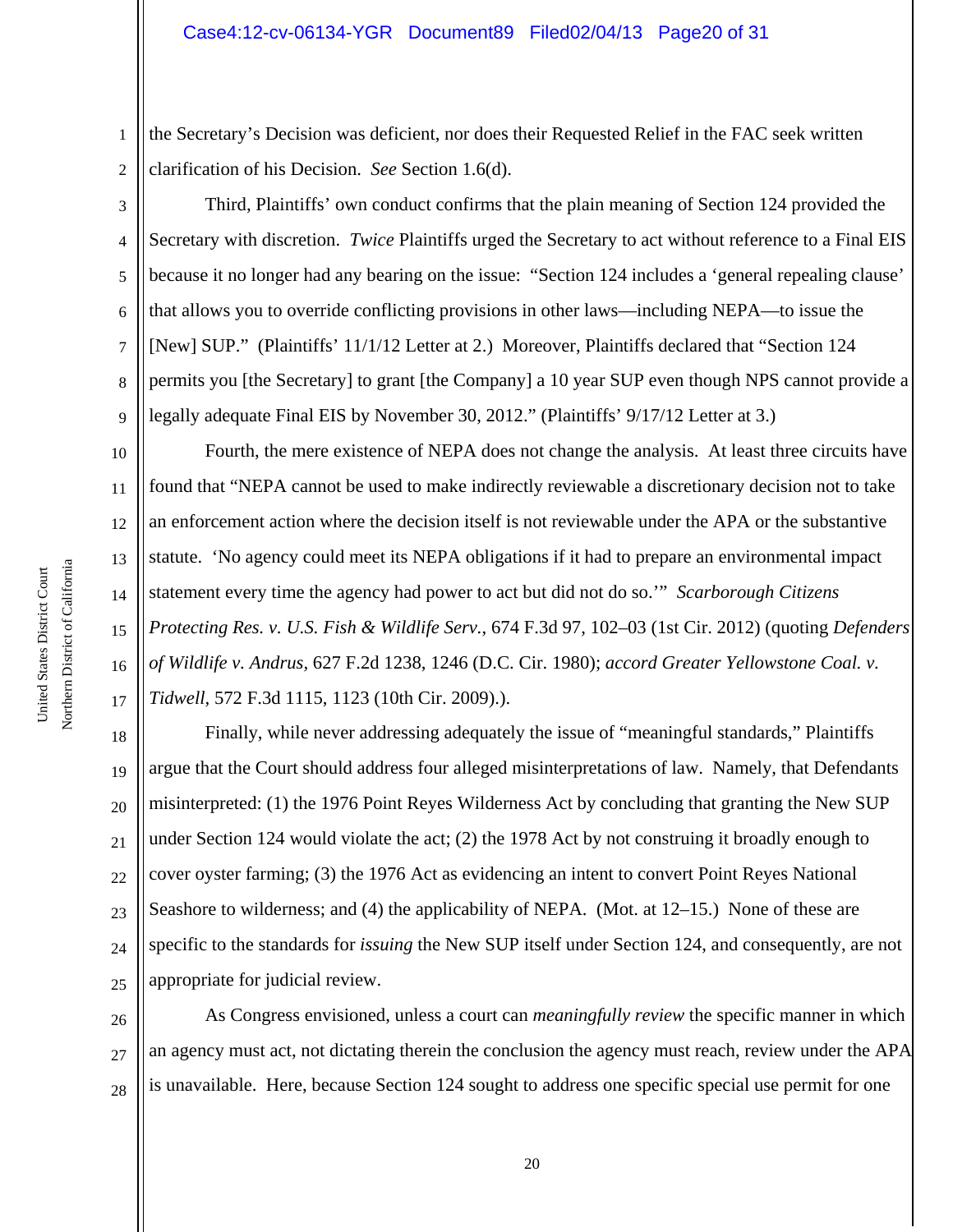1 2 the Secretary's Decision was deficient, nor does their Requested Relief in the FAC seek written clarification of his Decision. *See* Section 1.6(d).

3

4

5

6

7

8

9

10

11

12

13

14

15

16

17

Third, Plaintiffs' own conduct confirms that the plain meaning of Section 124 provided the Secretary with discretion. *Twice* Plaintiffs urged the Secretary to act without reference to a Final EIS because it no longer had any bearing on the issue: "Section 124 includes a 'general repealing clause' that allows you to override conflicting provisions in other laws—including NEPA—to issue the [New] SUP." (Plaintiffs' 11/1/12 Letter at 2.) Moreover, Plaintiffs declared that "Section 124 permits you [the Secretary] to grant [the Company] a 10 year SUP even though NPS cannot provide a legally adequate Final EIS by November 30, 2012." (Plaintiffs' 9/17/12 Letter at 3.)

Fourth, the mere existence of NEPA does not change the analysis. At least three circuits have found that "NEPA cannot be used to make indirectly reviewable a discretionary decision not to take an enforcement action where the decision itself is not reviewable under the APA or the substantive statute. 'No agency could meet its NEPA obligations if it had to prepare an environmental impact statement every time the agency had power to act but did not do so.'" *Scarborough Citizens Protecting Res. v. U.S. Fish & Wildlife Serv.*, 674 F.3d 97, 102–03 (1st Cir. 2012) (quoting *Defenders of Wildlife v. Andrus,* 627 F.2d 1238, 1246 (D.C. Cir. 1980); *accord Greater Yellowstone Coal. v. Tidwell,* 572 F.3d 1115, 1123 (10th Cir. 2009).).

18 19 20 21 22 23 24 25 Finally, while never addressing adequately the issue of "meaningful standards," Plaintiffs argue that the Court should address four alleged misinterpretations of law. Namely, that Defendants misinterpreted: (1) the 1976 Point Reyes Wilderness Act by concluding that granting the New SUP under Section 124 would violate the act; (2) the 1978 Act by not construing it broadly enough to cover oyster farming; (3) the 1976 Act as evidencing an intent to convert Point Reyes National Seashore to wilderness; and (4) the applicability of NEPA. (Mot. at 12–15.) None of these are specific to the standards for *issuing* the New SUP itself under Section 124, and consequently, are not appropriate for judicial review.

26 27 28 As Congress envisioned, unless a court can *meaningfully review* the specific manner in which an agency must act, not dictating therein the conclusion the agency must reach, review under the APA is unavailable. Here, because Section 124 sought to address one specific special use permit for one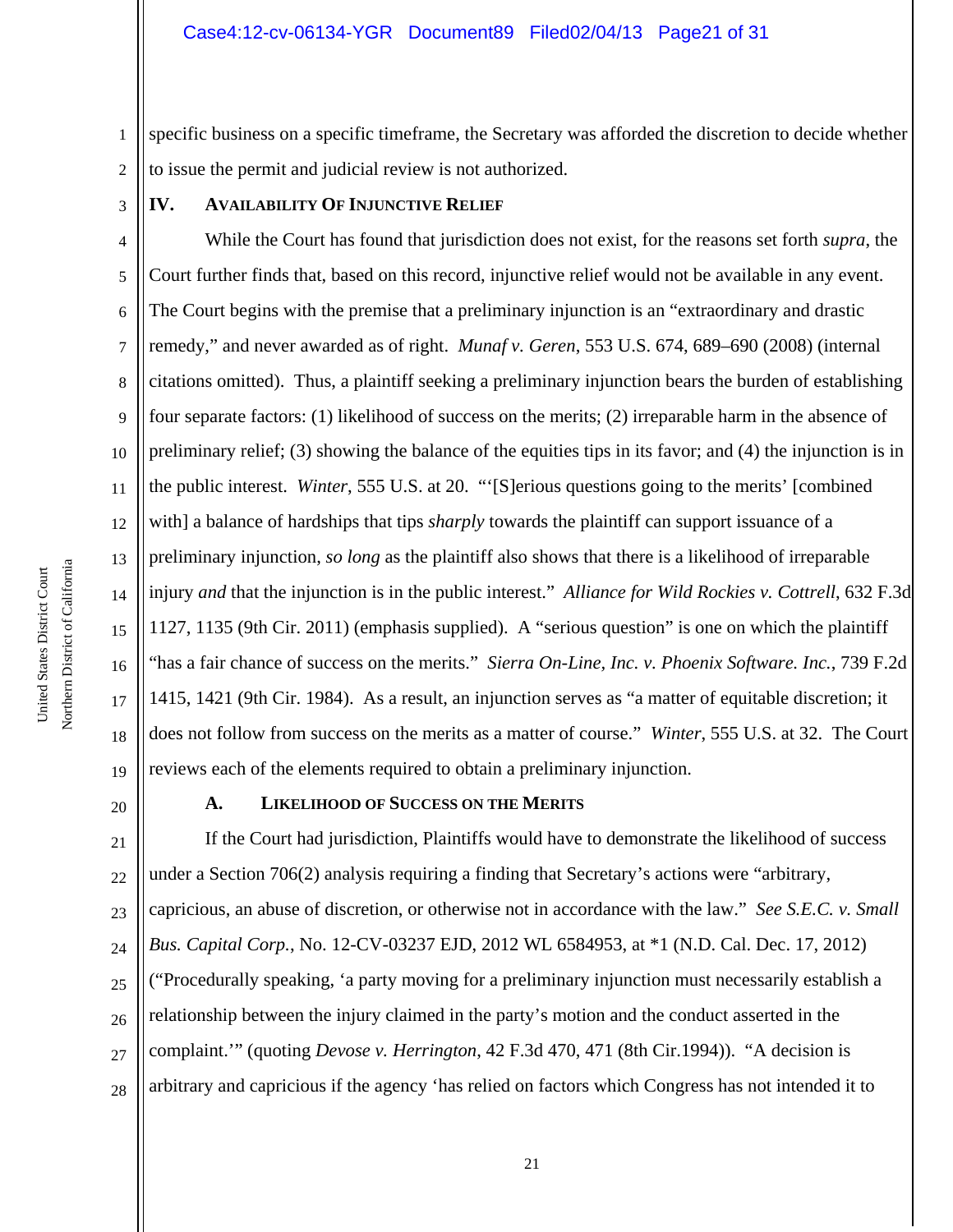1 2 specific business on a specific timeframe, the Secretary was afforded the discretion to decide whether to issue the permit and judicial review is not authorized.

3

# **IV. AVAILABILITY OF INJUNCTIVE RELIEF**

4 5 6 7 8 9 10 11 12 13 14 15 16 17 18 19 While the Court has found that jurisdiction does not exist, for the reasons set forth *supra*, the Court further finds that, based on this record, injunctive relief would not be available in any event. The Court begins with the premise that a preliminary injunction is an "extraordinary and drastic remedy," and never awarded as of right. *Munaf v. Geren*, 553 U.S. 674, 689–690 (2008) (internal citations omitted). Thus, a plaintiff seeking a preliminary injunction bears the burden of establishing four separate factors: (1) likelihood of success on the merits; (2) irreparable harm in the absence of preliminary relief; (3) showing the balance of the equities tips in its favor; and (4) the injunction is in the public interest. *Winter*, 555 U.S. at 20. "'[S]erious questions going to the merits' [combined with] a balance of hardships that tips *sharply* towards the plaintiff can support issuance of a preliminary injunction, *so long* as the plaintiff also shows that there is a likelihood of irreparable injury *and* that the injunction is in the public interest." *Alliance for Wild Rockies v. Cottrell*, 632 F.3d 1127, 1135 (9th Cir. 2011) (emphasis supplied). A "serious question" is one on which the plaintiff "has a fair chance of success on the merits." *Sierra On-Line, Inc. v. Phoenix Software. Inc.*, 739 F.2d 1415, 1421 (9th Cir. 1984). As a result, an injunction serves as "a matter of equitable discretion; it does not follow from success on the merits as a matter of course." *Winter*, 555 U.S. at 32. The Court reviews each of the elements required to obtain a preliminary injunction.

20

## **A. LIKELIHOOD OF SUCCESS ON THE MERITS**

21 22 23 24 25 26 27 28 If the Court had jurisdiction, Plaintiffs would have to demonstrate the likelihood of success under a Section 706(2) analysis requiring a finding that Secretary's actions were "arbitrary, capricious, an abuse of discretion, or otherwise not in accordance with the law." *See S.E.C. v. Small Bus. Capital Corp.*, No. 12-CV-03237 EJD, 2012 WL 6584953, at \*1 (N.D. Cal. Dec. 17, 2012) ("Procedurally speaking, 'a party moving for a preliminary injunction must necessarily establish a relationship between the injury claimed in the party's motion and the conduct asserted in the complaint.'" (quoting *Devose v. Herrington*, 42 F.3d 470, 471 (8th Cir.1994)). "A decision is arbitrary and capricious if the agency 'has relied on factors which Congress has not intended it to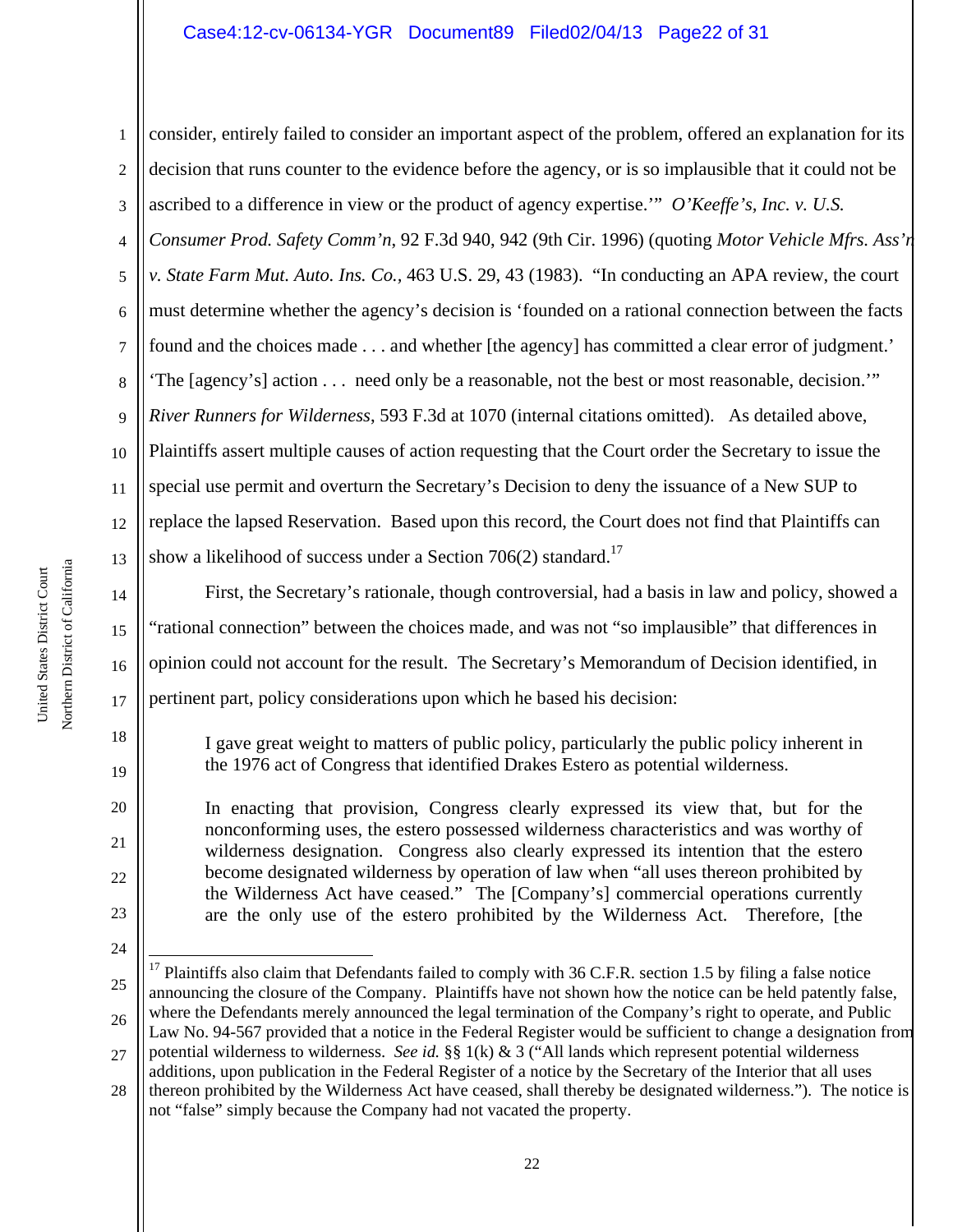## Case4:12-cv-06134-YGR Document89 Filed02/04/13 Page22 of 31

1 2 3 4 5 6 7 8 9 10 11 12 13 14 consider, entirely failed to consider an important aspect of the problem, offered an explanation for its decision that runs counter to the evidence before the agency, or is so implausible that it could not be ascribed to a difference in view or the product of agency expertise.'" *O'Keeffe's, Inc. v. U.S. Consumer Prod. Safety Comm'n*, 92 F.3d 940, 942 (9th Cir. 1996) (quoting *Motor Vehicle Mfrs. Ass'n v. State Farm Mut. Auto. Ins. Co.,* 463 U.S. 29, 43 (1983). "In conducting an APA review, the court must determine whether the agency's decision is 'founded on a rational connection between the facts found and the choices made . . . and whether [the agency] has committed a clear error of judgment.' 'The [agency's] action . . . need only be a reasonable, not the best or most reasonable, decision.'" *River Runners for Wilderness*, 593 F.3d at 1070 (internal citations omitted). As detailed above, Plaintiffs assert multiple causes of action requesting that the Court order the Secretary to issue the special use permit and overturn the Secretary's Decision to deny the issuance of a New SUP to replace the lapsed Reservation. Based upon this record, the Court does not find that Plaintiffs can show a likelihood of success under a Section  $706(2)$  standard.<sup>17</sup>

First, the Secretary's rationale, though controversial, had a basis in law and policy, showed a "rational connection" between the choices made, and was not "so implausible" that differences in opinion could not account for the result. The Secretary's Memorandum of Decision identified, in pertinent part, policy considerations upon which he based his decision:

I gave great weight to matters of public policy, particularly the public policy inherent in the 1976 act of Congress that identified Drakes Estero as potential wilderness.

In enacting that provision, Congress clearly expressed its view that, but for the nonconforming uses, the estero possessed wilderness characteristics and was worthy of wilderness designation. Congress also clearly expressed its intention that the estero become designated wilderness by operation of law when "all uses thereon prohibited by the Wilderness Act have ceased." The [Company's] commercial operations currently are the only use of the estero prohibited by the Wilderness Act. Therefore, [the

15

16

17

18

19

20

21

22

23

<sup>25</sup> 26 ÷ Plaintiffs also claim that Defendants failed to comply with 36 C.F.R. section 1.5 by filing a false notice announcing the closure of the Company. Plaintiffs have not shown how the notice can be held patently false, where the Defendants merely announced the legal termination of the Company's right to operate, and Public Law No. 94-567 provided that a notice in the Federal Register would be sufficient to change a designation from

<sup>27</sup> potential wilderness to wilderness. *See id.* §§ 1(k) & 3 ("All lands which represent potential wilderness additions, upon publication in the Federal Register of a notice by the Secretary of the Interior that all uses

<sup>28</sup> thereon prohibited by the Wilderness Act have ceased, shall thereby be designated wilderness."). The notice is not "false" simply because the Company had not vacated the property.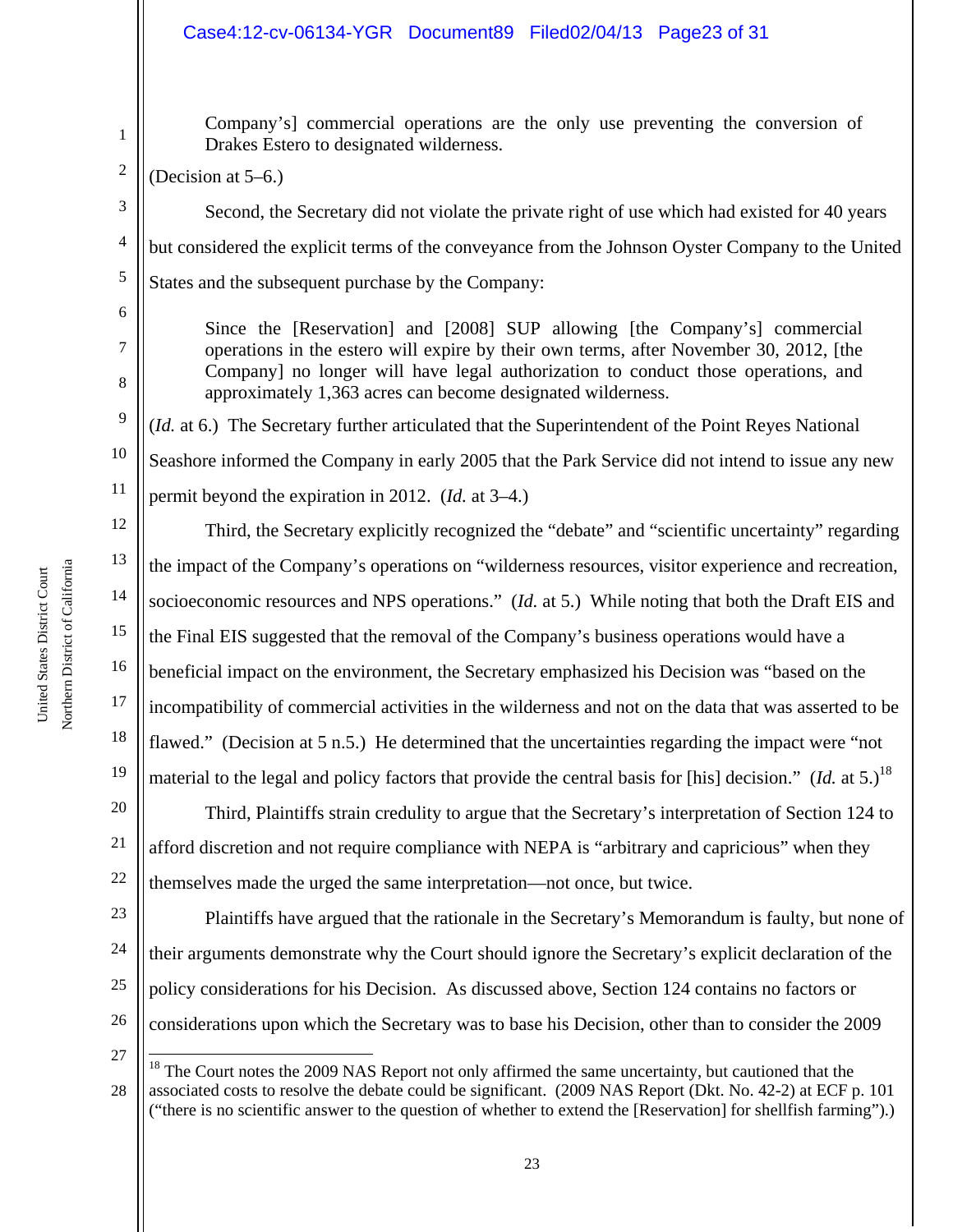# Case4:12-cv-06134-YGR Document89 Filed02/04/13 Page23 of 31

Company's] commercial operations are the only use preventing the conversion of Drakes Estero to designated wilderness.

(Decision at 5–6.)

Second, the Secretary did not violate the private right of use which had existed for 40 years but considered the explicit terms of the conveyance from the Johnson Oyster Company to the United States and the subsequent purchase by the Company:

Since the [Reservation] and [2008] SUP allowing [the Company's] commercial operations in the estero will expire by their own terms, after November 30, 2012, [the Company] no longer will have legal authorization to conduct those operations, and

(*Id.* at 6.) The Secretary further articulated that the Superintendent of the Point Reyes National

Seashore informed the Company in early 2005 that the Park Service did not intend to issue any new

approximately 1,363 acres can become designated wilderness.

permit beyond the expiration in 2012. (*Id.* at 3–4.)

1

2

3

4

5

6

7

12 13 14 15 16 17 18 19 Third, the Secretary explicitly recognized the "debate" and "scientific uncertainty" regarding the impact of the Company's operations on "wilderness resources, visitor experience and recreation, socioeconomic resources and NPS operations." (*Id.* at 5.) While noting that both the Draft EIS and the Final EIS suggested that the removal of the Company's business operations would have a beneficial impact on the environment, the Secretary emphasized his Decision was "based on the incompatibility of commercial activities in the wilderness and not on the data that was asserted to be flawed." (Decision at 5 n.5.) He determined that the uncertainties regarding the impact were "not material to the legal and policy factors that provide the central basis for [his] decision." (*Id.* at 5.)<sup>18</sup>

20 21 22 Third, Plaintiffs strain credulity to argue that the Secretary's interpretation of Section 124 to afford discretion and not require compliance with NEPA is "arbitrary and capricious" when they themselves made the urged the same interpretation—not once, but twice.

23 24 25 26 Plaintiffs have argued that the rationale in the Secretary's Memorandum is faulty, but none of their arguments demonstrate why the Court should ignore the Secretary's explicit declaration of the policy considerations for his Decision. As discussed above, Section 124 contains no factors or considerations upon which the Secretary was to base his Decision, other than to consider the 2009

27

i

<sup>28</sup>  $18$ <sup>18</sup> The Court notes the 2009 NAS Report not only affirmed the same uncertainty, but cautioned that the associated costs to resolve the debate could be significant. (2009 NAS Report (Dkt. No. 42-2) at ECF p. 101 ("there is no scientific answer to the question of whether to extend the [Reservation] for shellfish farming").)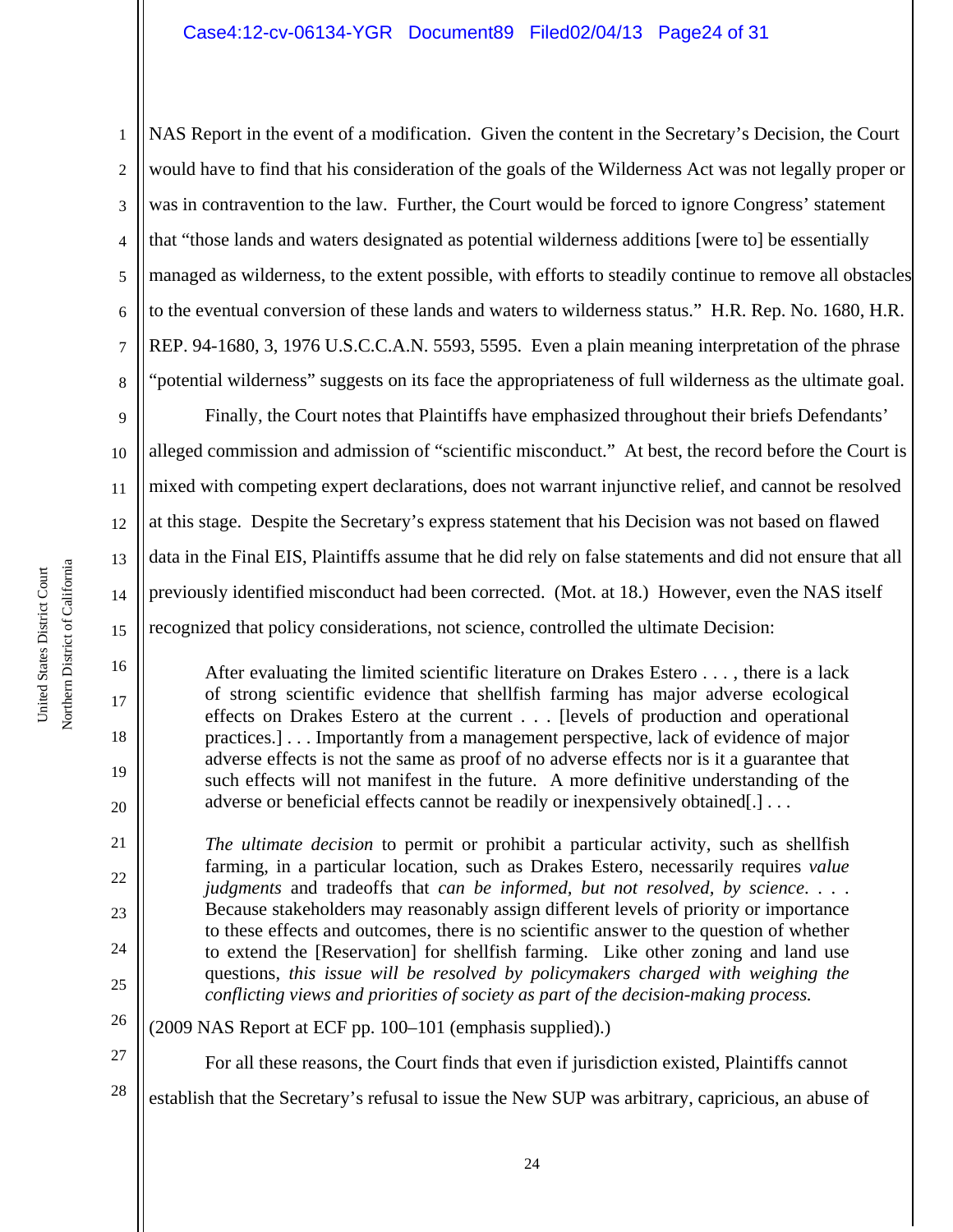1 2 3 4 5 6 7 8 NAS Report in the event of a modification. Given the content in the Secretary's Decision, the Court would have to find that his consideration of the goals of the Wilderness Act was not legally proper or was in contravention to the law. Further, the Court would be forced to ignore Congress' statement that "those lands and waters designated as potential wilderness additions [were to] be essentially managed as wilderness, to the extent possible, with efforts to steadily continue to remove all obstacles to the eventual conversion of these lands and waters to wilderness status." H.R. Rep. No. 1680, H.R. REP. 94-1680, 3, 1976 U.S.C.C.A.N. 5593, 5595. Even a plain meaning interpretation of the phrase "potential wilderness" suggests on its face the appropriateness of full wilderness as the ultimate goal.

9 10 11 12 13 14 15 Finally, the Court notes that Plaintiffs have emphasized throughout their briefs Defendants' alleged commission and admission of "scientific misconduct." At best, the record before the Court is mixed with competing expert declarations, does not warrant injunctive relief, and cannot be resolved at this stage. Despite the Secretary's express statement that his Decision was not based on flawed data in the Final EIS, Plaintiffs assume that he did rely on false statements and did not ensure that all previously identified misconduct had been corrected. (Mot. at 18.) However, even the NAS itself recognized that policy considerations, not science, controlled the ultimate Decision:

After evaluating the limited scientific literature on Drakes Estero . . . , there is a lack of strong scientific evidence that shellfish farming has major adverse ecological effects on Drakes Estero at the current . . . [levels of production and operational practices.] . . . Importantly from a management perspective, lack of evidence of major adverse effects is not the same as proof of no adverse effects nor is it a guarantee that such effects will not manifest in the future. A more definitive understanding of the adverse or beneficial effects cannot be readily or inexpensively obtained[.] . . .

*The ultimate decision* to permit or prohibit a particular activity, such as shellfish farming, in a particular location, such as Drakes Estero, necessarily requires *value judgments* and tradeoffs that *can be informed, but not resolved, by science*. . . . Because stakeholders may reasonably assign different levels of priority or importance to these effects and outcomes, there is no scientific answer to the question of whether to extend the [Reservation] for shellfish farming. Like other zoning and land use questions, *this issue will be resolved by policymakers charged with weighing the conflicting views and priorities of society as part of the decision-making process.*

- 26 (2009 NAS Report at ECF pp. 100–101 (emphasis supplied).)
- 27 28 For all these reasons, the Court finds that even if jurisdiction existed, Plaintiffs cannot establish that the Secretary's refusal to issue the New SUP was arbitrary, capricious, an abuse of

16

17

18

19

20

21

22

23

24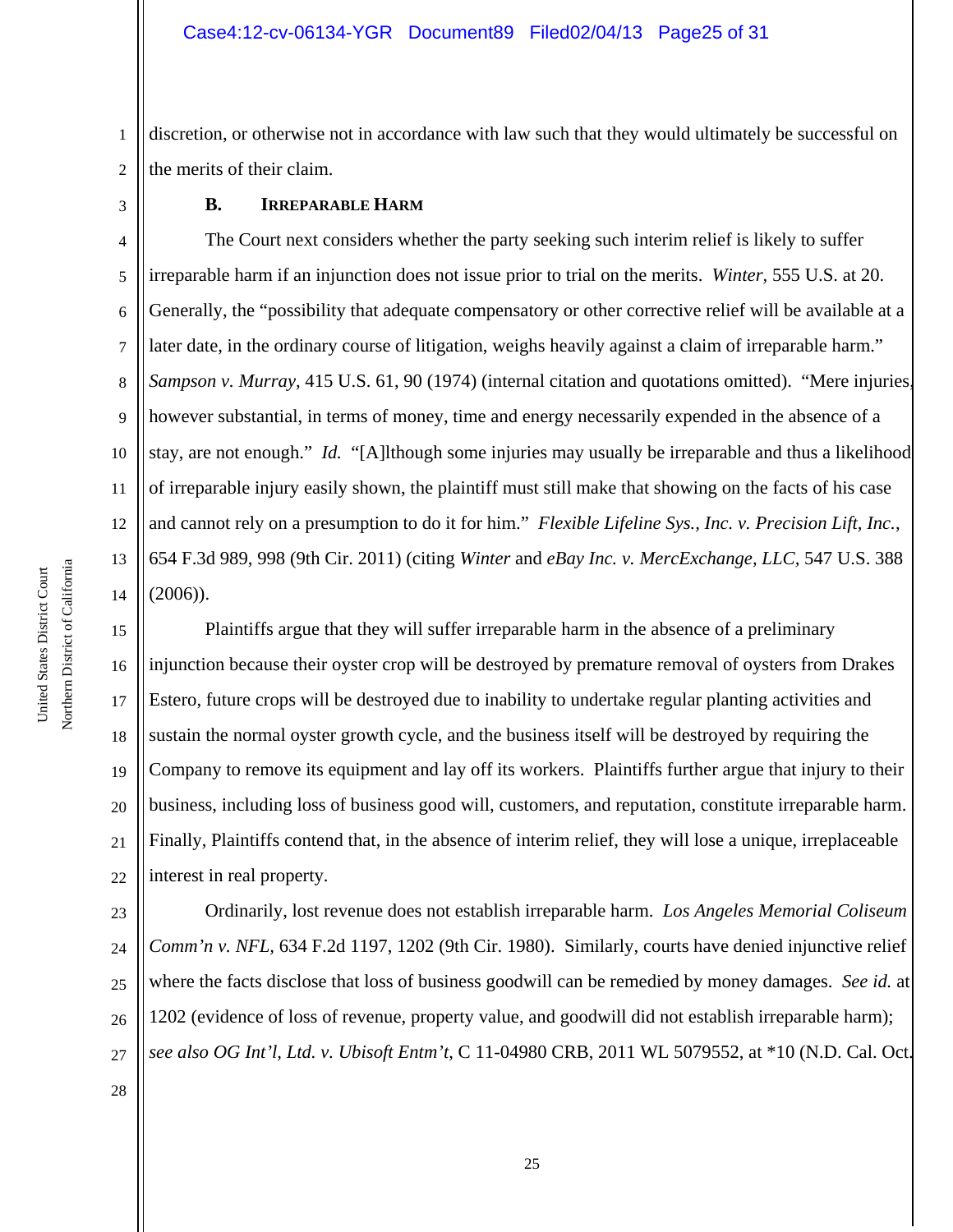1 2 discretion, or otherwise not in accordance with law such that they would ultimately be successful on the merits of their claim.

### **B. IRREPARABLE HARM**

4 5 6 7 8 9 10 11 12 13 14 The Court next considers whether the party seeking such interim relief is likely to suffer irreparable harm if an injunction does not issue prior to trial on the merits. *Winter,* 555 U.S. at 20. Generally, the "possibility that adequate compensatory or other corrective relief will be available at a later date, in the ordinary course of litigation, weighs heavily against a claim of irreparable harm." *Sampson v. Murray,* 415 U.S. 61, 90 (1974) (internal citation and quotations omitted). "Mere injuries, however substantial, in terms of money, time and energy necessarily expended in the absence of a stay, are not enough." *Id.* "[A]lthough some injuries may usually be irreparable and thus a likelihood of irreparable injury easily shown, the plaintiff must still make that showing on the facts of his case and cannot rely on a presumption to do it for him." *Flexible Lifeline Sys., Inc. v. Precision Lift, Inc.*, 654 F.3d 989, 998 (9th Cir. 2011) (citing *Winter* and *eBay Inc. v. MercExchange, LLC,* 547 U.S. 388  $(2006)$ ).

15 16 17 18 19 20 21 22 Plaintiffs argue that they will suffer irreparable harm in the absence of a preliminary injunction because their oyster crop will be destroyed by premature removal of oysters from Drakes Estero, future crops will be destroyed due to inability to undertake regular planting activities and sustain the normal oyster growth cycle, and the business itself will be destroyed by requiring the Company to remove its equipment and lay off its workers. Plaintiffs further argue that injury to their business, including loss of business good will, customers, and reputation, constitute irreparable harm. Finally, Plaintiffs contend that, in the absence of interim relief, they will lose a unique, irreplaceable interest in real property.

23 24 25 26 27 Ordinarily, lost revenue does not establish irreparable harm. *Los Angeles Memorial Coliseum Comm'n v. NFL,* 634 F.2d 1197, 1202 (9th Cir. 1980). Similarly, courts have denied injunctive relief where the facts disclose that loss of business goodwill can be remedied by money damages. *See id.* at 1202 (evidence of loss of revenue, property value, and goodwill did not establish irreparable harm); *see also OG Int'l, Ltd. v. Ubisoft Entm't*, C 11-04980 CRB, 2011 WL 5079552, at \*10 (N.D. Cal. Oct.

Northern District of California Northern District of California United States District Court United States District Court

28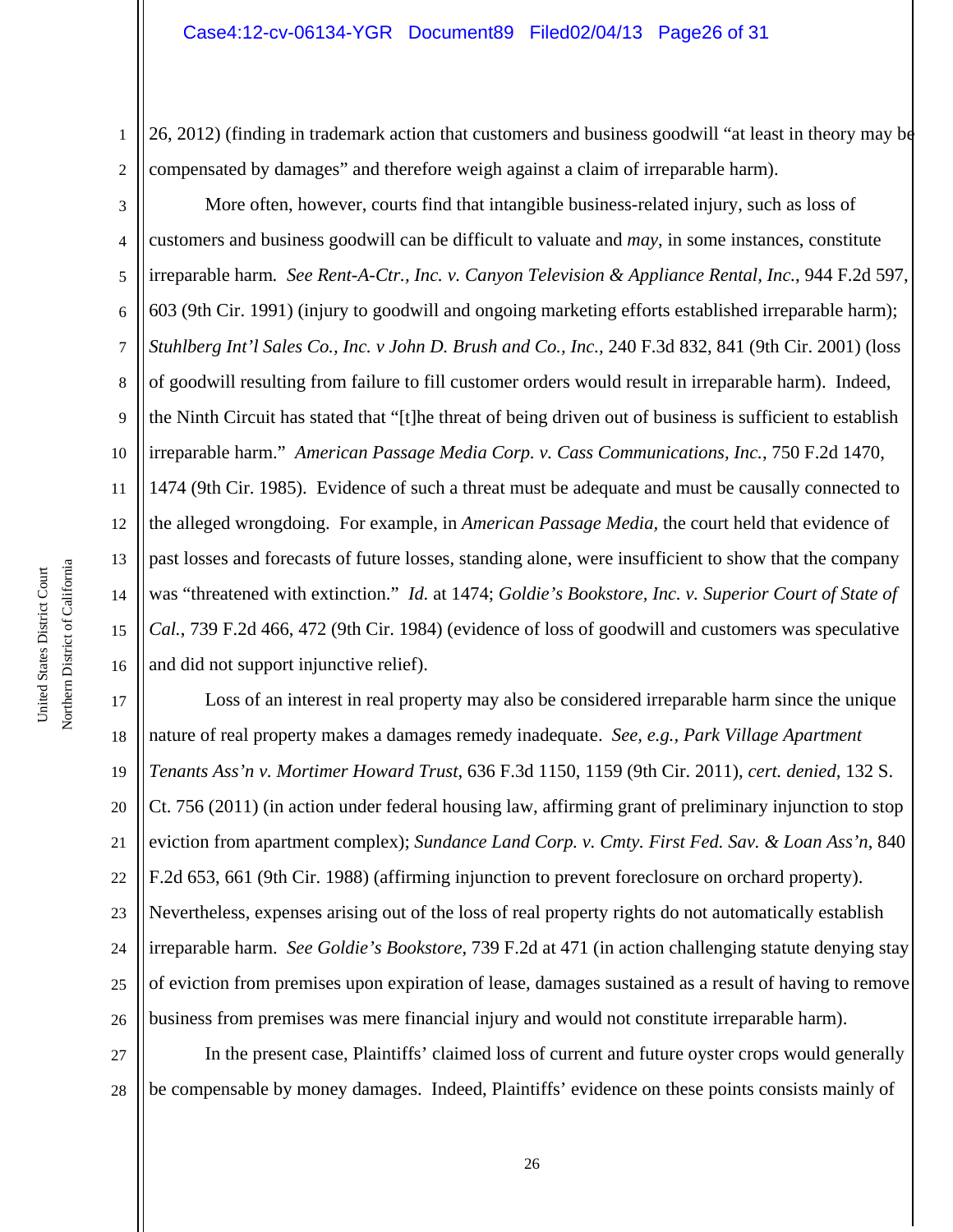2 26, 2012) (finding in trademark action that customers and business goodwill "at least in theory may be compensated by damages" and therefore weigh against a claim of irreparable harm).

3 4 5 6 7 8 9 10 11 12 13 14 15 16 More often, however, courts find that intangible business-related injury, such as loss of customers and business goodwill can be difficult to valuate and *may*, in some instances, constitute irreparable harm*. See Rent-A-Ctr., Inc. v. Canyon Television & Appliance Rental, Inc.*, 944 F.2d 597, 603 (9th Cir. 1991) (injury to goodwill and ongoing marketing efforts established irreparable harm); *Stuhlberg Int'l Sales Co., Inc. v John D. Brush and Co., Inc.,* 240 F.3d 832, 841 (9th Cir. 2001) (loss of goodwill resulting from failure to fill customer orders would result in irreparable harm). Indeed, the Ninth Circuit has stated that "[t]he threat of being driven out of business is sufficient to establish irreparable harm." *American Passage Media Corp. v. Cass Communications, Inc.*, 750 F.2d 1470, 1474 (9th Cir. 1985). Evidence of such a threat must be adequate and must be causally connected to the alleged wrongdoing. For example, in *American Passage Media,* the court held that evidence of past losses and forecasts of future losses, standing alone, were insufficient to show that the company was "threatened with extinction." *Id.* at 1474; *Goldie's Bookstore, Inc. v. Superior Court of State of Cal.*, 739 F.2d 466, 472 (9th Cir. 1984) (evidence of loss of goodwill and customers was speculative and did not support injunctive relief).

17 18 19 20 21 22 23 24 25 26 Loss of an interest in real property may also be considered irreparable harm since the unique nature of real property makes a damages remedy inadequate. *See, e.g., Park Village Apartment Tenants Ass'n v. Mortimer Howard Trust*, 636 F.3d 1150, 1159 (9th Cir. 2011), *cert. denied,* 132 S. Ct. 756 (2011) (in action under federal housing law, affirming grant of preliminary injunction to stop eviction from apartment complex); *Sundance Land Corp. v. Cmty. First Fed. Sav. & Loan Ass'n*, 840 F.2d 653, 661 (9th Cir. 1988) (affirming injunction to prevent foreclosure on orchard property). Nevertheless, expenses arising out of the loss of real property rights do not automatically establish irreparable harm. *See Goldie's Bookstore*, 739 F.2d at 471 (in action challenging statute denying stay of eviction from premises upon expiration of lease, damages sustained as a result of having to remove business from premises was mere financial injury and would not constitute irreparable harm).

27 28 In the present case, Plaintiffs' claimed loss of current and future oyster crops would generally be compensable by money damages. Indeed, Plaintiffs' evidence on these points consists mainly of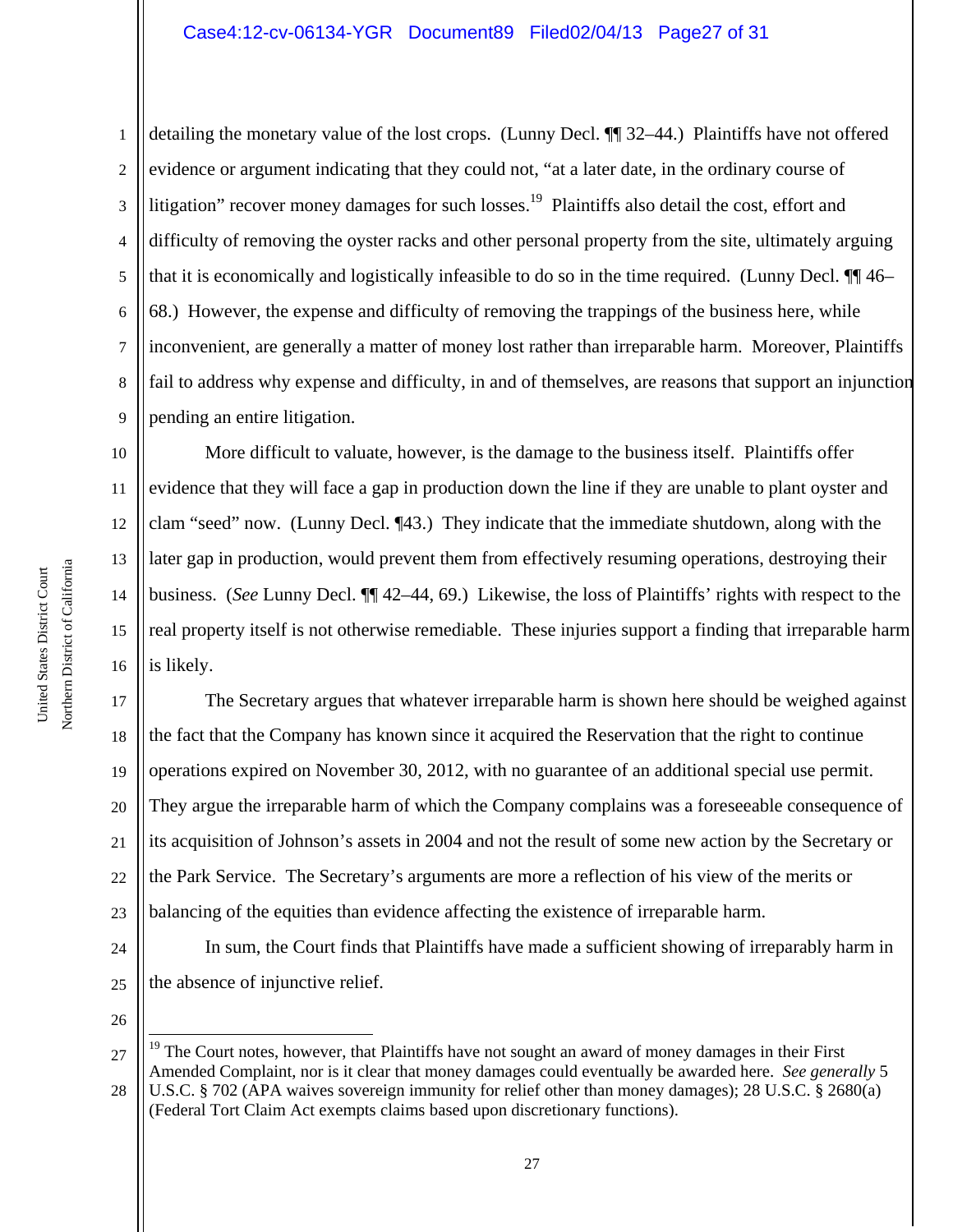1 2 3 4 5 6 7 8 9 detailing the monetary value of the lost crops. (Lunny Decl. ¶¶ 32–44.) Plaintiffs have not offered evidence or argument indicating that they could not, "at a later date, in the ordinary course of litigation" recover money damages for such losses.<sup>19</sup> Plaintiffs also detail the cost, effort and difficulty of removing the oyster racks and other personal property from the site, ultimately arguing that it is economically and logistically infeasible to do so in the time required. (Lunny Decl. ¶¶ 46– 68.) However, the expense and difficulty of removing the trappings of the business here, while inconvenient, are generally a matter of money lost rather than irreparable harm. Moreover, Plaintiffs fail to address why expense and difficulty, in and of themselves, are reasons that support an injunction pending an entire litigation.

10 11 12 13 14 15 16 More difficult to valuate, however, is the damage to the business itself. Plaintiffs offer evidence that they will face a gap in production down the line if they are unable to plant oyster and clam "seed" now. (Lunny Decl. ¶43.) They indicate that the immediate shutdown, along with the later gap in production, would prevent them from effectively resuming operations, destroying their business. (*See* Lunny Decl. ¶¶ 42–44, 69.) Likewise, the loss of Plaintiffs' rights with respect to the real property itself is not otherwise remediable. These injuries support a finding that irreparable harm is likely.

17 18 19 20 21 22 23 The Secretary argues that whatever irreparable harm is shown here should be weighed against the fact that the Company has known since it acquired the Reservation that the right to continue operations expired on November 30, 2012, with no guarantee of an additional special use permit. They argue the irreparable harm of which the Company complains was a foreseeable consequence of its acquisition of Johnson's assets in 2004 and not the result of some new action by the Secretary or the Park Service. The Secretary's arguments are more a reflection of his view of the merits or balancing of the equities than evidence affecting the existence of irreparable harm.

In sum, the Court finds that Plaintiffs have made a sufficient showing of irreparably harm in the absence of injunctive relief.

26

÷

24

25

28 U.S.C. § 702 (APA waives sovereign immunity for relief other than money damages); 28 U.S.C. § 2680(a) (Federal Tort Claim Act exempts claims based upon discretionary functions).

<sup>27</sup> <sup>19</sup> The Court notes, however, that Plaintiffs have not sought an award of money damages in their First Amended Complaint, nor is it clear that money damages could eventually be awarded here. *See generally* 5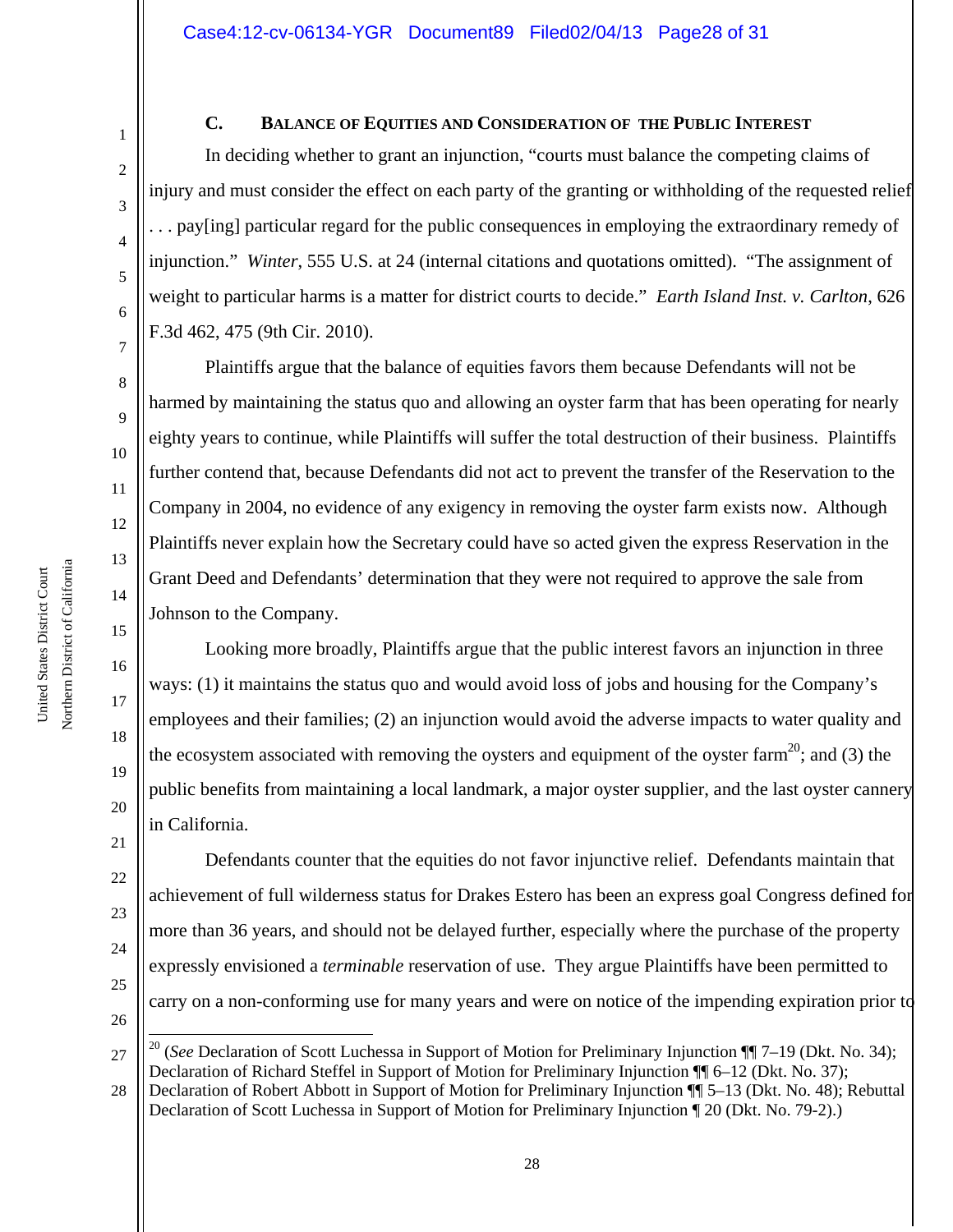# **C. BALANCE OF EQUITIES AND CONSIDERATION OF THE PUBLIC INTEREST**

In deciding whether to grant an injunction, "courts must balance the competing claims of injury and must consider the effect on each party of the granting or withholding of the requested relief . . . pay[ing] particular regard for the public consequences in employing the extraordinary remedy of injunction." *Winter*, 555 U.S. at 24 (internal citations and quotations omitted). "The assignment of weight to particular harms is a matter for district courts to decide." *Earth Island Inst. v. Carlton*, 626 F.3d 462, 475 (9th Cir. 2010).

Plaintiffs argue that the balance of equities favors them because Defendants will not be harmed by maintaining the status quo and allowing an oyster farm that has been operating for nearly eighty years to continue, while Plaintiffs will suffer the total destruction of their business. Plaintiffs further contend that, because Defendants did not act to prevent the transfer of the Reservation to the Company in 2004, no evidence of any exigency in removing the oyster farm exists now. Although Plaintiffs never explain how the Secretary could have so acted given the express Reservation in the Grant Deed and Defendants' determination that they were not required to approve the sale from Johnson to the Company.

Looking more broadly, Plaintiffs argue that the public interest favors an injunction in three ways: (1) it maintains the status quo and would avoid loss of jobs and housing for the Company's employees and their families; (2) an injunction would avoid the adverse impacts to water quality and the ecosystem associated with removing the oysters and equipment of the oyster farm<sup>20</sup>; and (3) the public benefits from maintaining a local landmark, a major oyster supplier, and the last oyster cannery in California.

 Defendants counter that the equities do not favor injunctive relief. Defendants maintain that achievement of full wilderness status for Drakes Estero has been an express goal Congress defined for more than 36 years, and should not be delayed further, especially where the purchase of the property expressly envisioned a *terminable* reservation of use. They argue Plaintiffs have been permitted to carry on a non-conforming use for many years and were on notice of the impending expiration prior to

1

2

3

4

5

6

7

8

9

10

11

12

13

14

15

16

17

18

19

20

21

22

23

24

25

<sup>27</sup> ÷ <sup>20</sup> (*See* Declaration of Scott Luchessa in Support of Motion for Preliminary Injunction ¶ 7–19 (Dkt. No. 34); Declaration of Richard Steffel in Support of Motion for Preliminary Injunction ¶¶ 6–12 (Dkt. No. 37);

<sup>28</sup> Declaration of Robert Abbott in Support of Motion for Preliminary Injunction ¶¶ 5–13 (Dkt. No. 48); Rebuttal Declaration of Scott Luchessa in Support of Motion for Preliminary Injunction ¶ 20 (Dkt. No. 79-2).)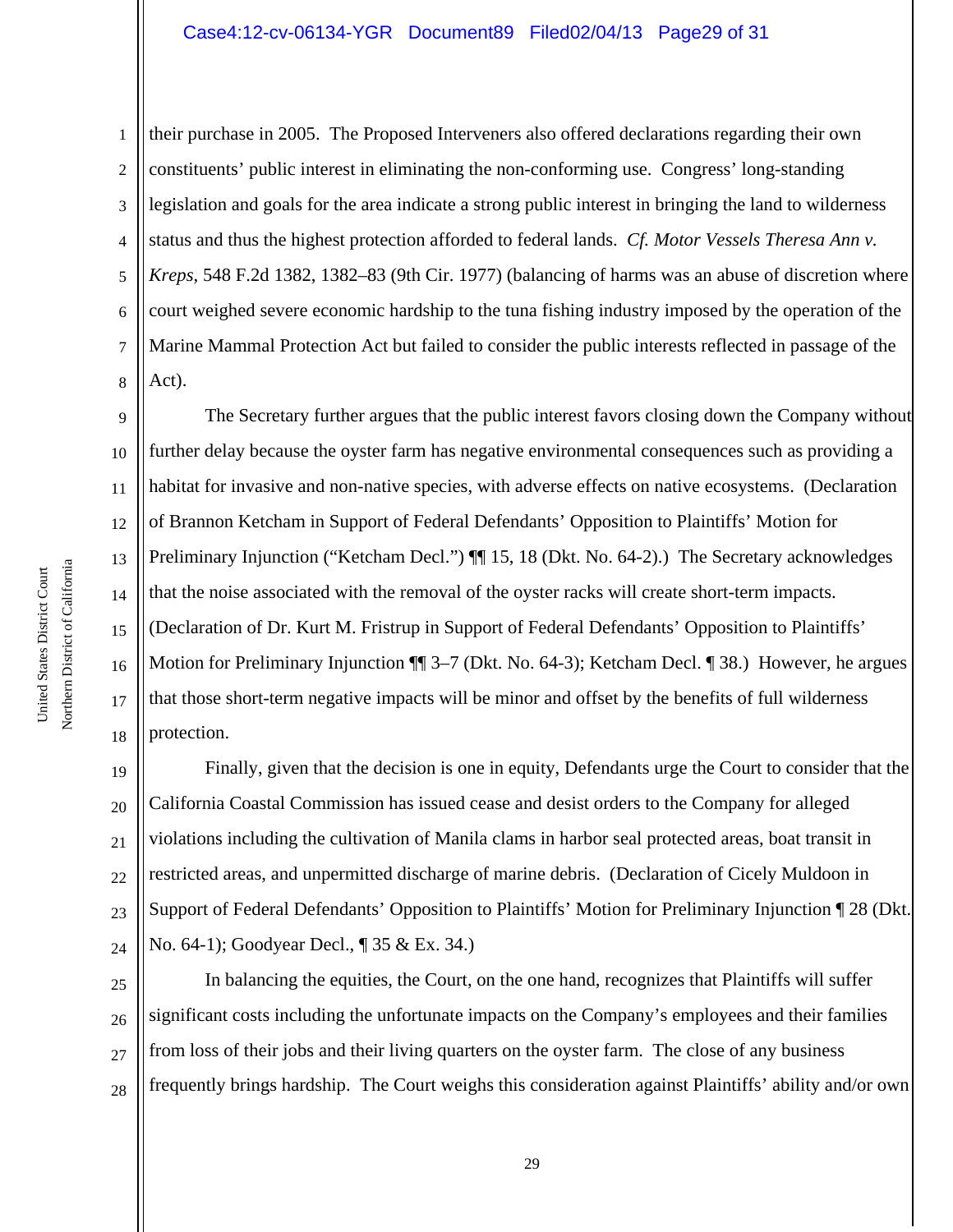## Case4:12-cv-06134-YGR Document89 Filed02/04/13 Page29 of 31

1 2 3 4 5 6 7 8 their purchase in 2005. The Proposed Interveners also offered declarations regarding their own constituents' public interest in eliminating the non-conforming use. Congress' long-standing legislation and goals for the area indicate a strong public interest in bringing the land to wilderness status and thus the highest protection afforded to federal lands. *Cf. Motor Vessels Theresa Ann v. Kreps*, 548 F.2d 1382, 1382–83 (9th Cir. 1977) (balancing of harms was an abuse of discretion where court weighed severe economic hardship to the tuna fishing industry imposed by the operation of the Marine Mammal Protection Act but failed to consider the public interests reflected in passage of the Act).

9 10 11 12 13 14 15 16 17 18 The Secretary further argues that the public interest favors closing down the Company without further delay because the oyster farm has negative environmental consequences such as providing a habitat for invasive and non-native species, with adverse effects on native ecosystems. (Declaration of Brannon Ketcham in Support of Federal Defendants' Opposition to Plaintiffs' Motion for Preliminary Injunction ("Ketcham Decl.")  $\P$  15, 18 (Dkt. No. 64-2).) The Secretary acknowledges that the noise associated with the removal of the oyster racks will create short-term impacts. (Declaration of Dr. Kurt M. Fristrup in Support of Federal Defendants' Opposition to Plaintiffs' Motion for Preliminary Injunction ¶¶ 3–7 (Dkt. No. 64-3); Ketcham Decl. ¶ 38.) However, he argues that those short-term negative impacts will be minor and offset by the benefits of full wilderness protection.

19 20 21 22 23 24 Finally, given that the decision is one in equity, Defendants urge the Court to consider that the California Coastal Commission has issued cease and desist orders to the Company for alleged violations including the cultivation of Manila clams in harbor seal protected areas, boat transit in restricted areas, and unpermitted discharge of marine debris. (Declaration of Cicely Muldoon in Support of Federal Defendants' Opposition to Plaintiffs' Motion for Preliminary Injunction ¶ 28 (Dkt. No. 64-1); Goodyear Decl., ¶ 35 & Ex. 34.)

25 26 27 28 In balancing the equities, the Court, on the one hand, recognizes that Plaintiffs will suffer significant costs including the unfortunate impacts on the Company's employees and their families from loss of their jobs and their living quarters on the oyster farm. The close of any business frequently brings hardship. The Court weighs this consideration against Plaintiffs' ability and/or own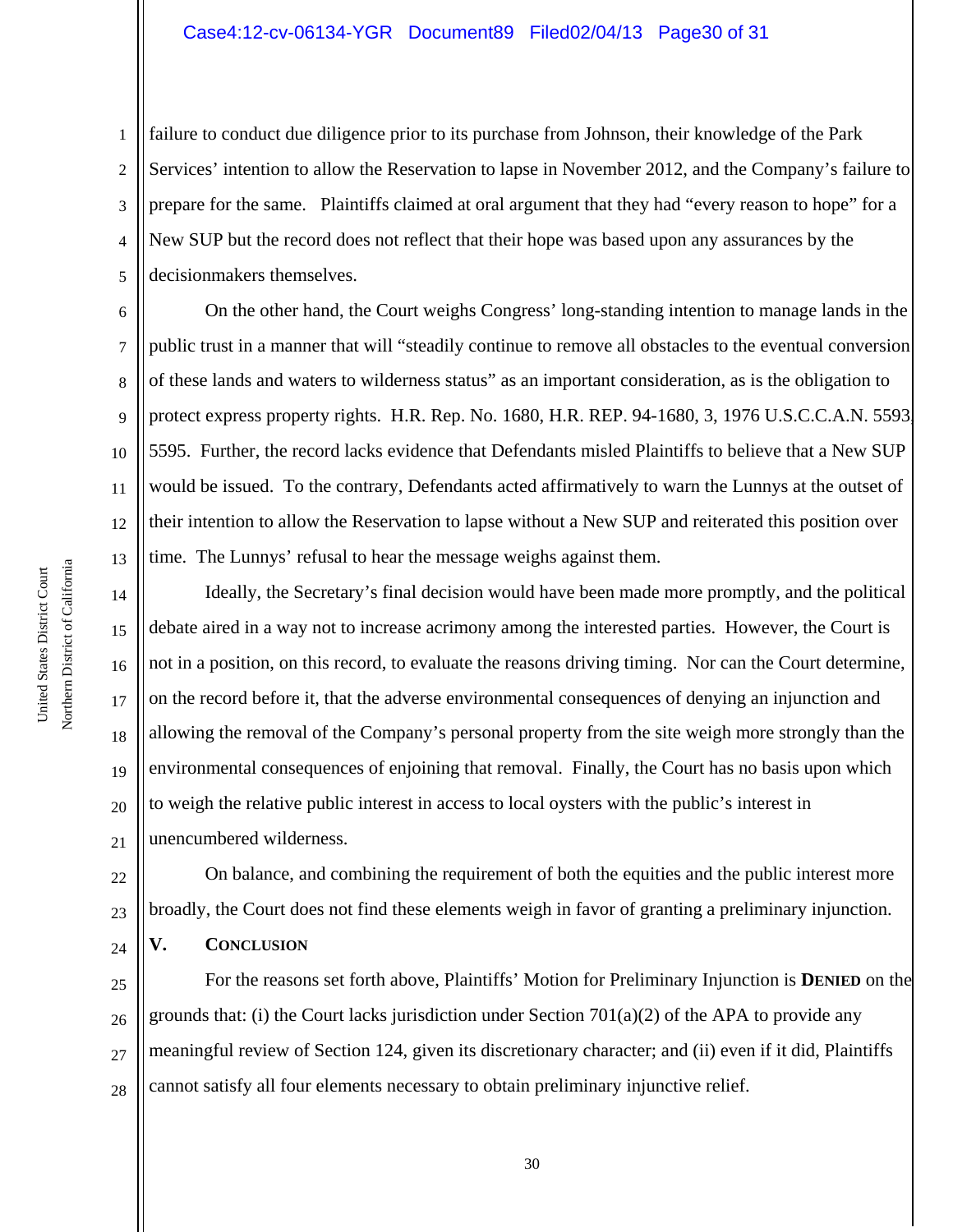1 2 3 4 5 failure to conduct due diligence prior to its purchase from Johnson, their knowledge of the Park Services' intention to allow the Reservation to lapse in November 2012, and the Company's failure to prepare for the same. Plaintiffs claimed at oral argument that they had "every reason to hope" for a New SUP but the record does not reflect that their hope was based upon any assurances by the decisionmakers themselves.

6 12 On the other hand, the Court weighs Congress' long-standing intention to manage lands in the public trust in a manner that will "steadily continue to remove all obstacles to the eventual conversion of these lands and waters to wilderness status" as an important consideration, as is the obligation to protect express property rights. H.R. Rep. No. 1680, H.R. REP. 94-1680, 3, 1976 U.S.C.C.A.N. 5593, 5595. Further, the record lacks evidence that Defendants misled Plaintiffs to believe that a New SUP would be issued. To the contrary, Defendants acted affirmatively to warn the Lunnys at the outset of their intention to allow the Reservation to lapse without a New SUP and reiterated this position over time. The Lunnys' refusal to hear the message weighs against them.

14 15 16 17 18 19 20 21 Ideally, the Secretary's final decision would have been made more promptly, and the political debate aired in a way not to increase acrimony among the interested parties. However, the Court is not in a position, on this record, to evaluate the reasons driving timing. Nor can the Court determine, on the record before it, that the adverse environmental consequences of denying an injunction and allowing the removal of the Company's personal property from the site weigh more strongly than the environmental consequences of enjoining that removal. Finally, the Court has no basis upon which to weigh the relative public interest in access to local oysters with the public's interest in unencumbered wilderness.

22 23 24 On balance, and combining the requirement of both the equities and the public interest more broadly, the Court does not find these elements weigh in favor of granting a preliminary injunction. **V. CONCLUSION**

25 26 27 28 For the reasons set forth above, Plaintiffs' Motion for Preliminary Injunction is **DENIED** on the grounds that: (i) the Court lacks jurisdiction under Section  $701(a)(2)$  of the APA to provide any meaningful review of Section 124, given its discretionary character; and (ii) even if it did, Plaintiffs cannot satisfy all four elements necessary to obtain preliminary injunctive relief.

7

8

9

10

11

13